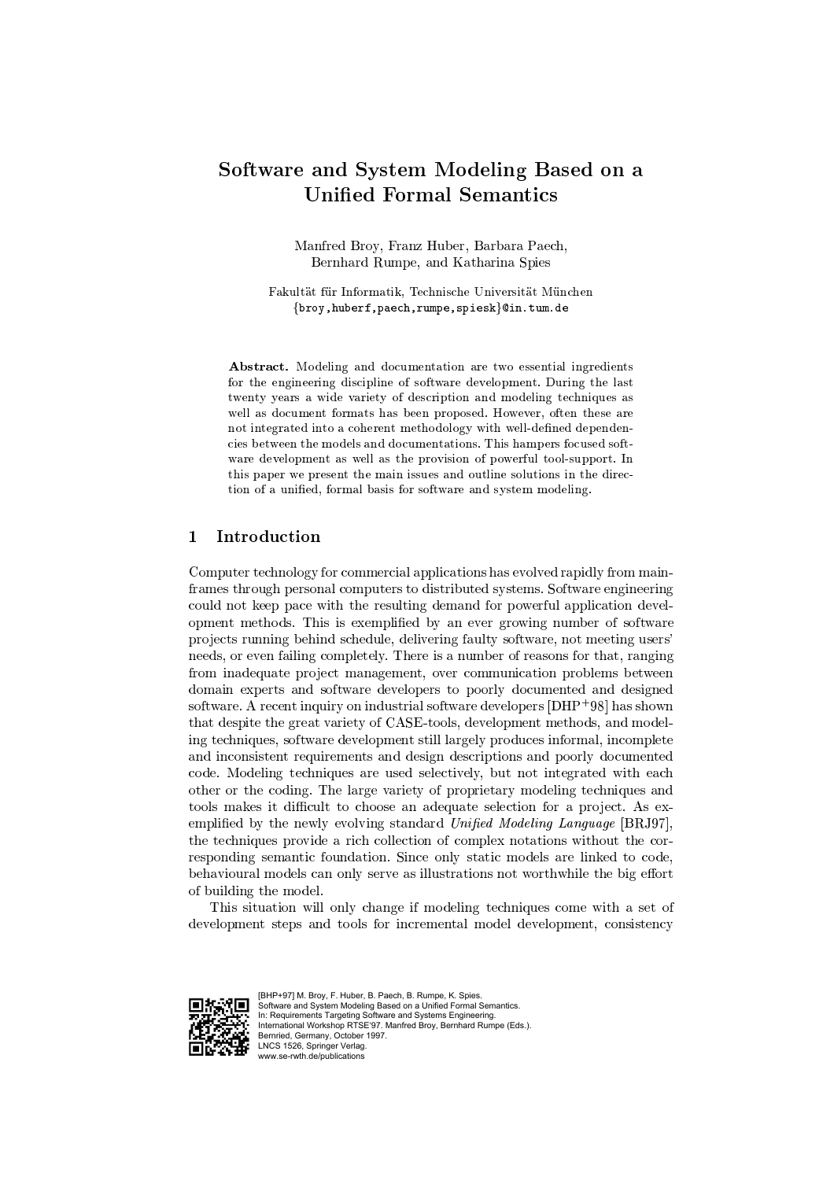# Software and System Modeling Based on a **Unified Formal Semantics**

Manfred Broy, Franz Huber, Barbara Paech, Bernhard Rumpe, and Katharina Spies

Fakultät für Informatik, Technische Universität München  $\{broy, huberf, paech, rumpe, spiesk\}@in.tum.de$ 

Abstract. Modeling and documentation are two essential ingredients for the engineering discipline of software development. During the last twenty years a wide variety of description and modeling techniques as well as document formats has been proposed. However, often these are not integrated into a coherent methodology with well-defined dependencies between the models and documentations. This hampers focused software development as well as the provision of powerful tool-support. In this paper we present the main issues and outline solutions in the direction of a unified, formal basis for software and system modeling.

### Introduction  $\mathbf{1}$

Computer technology for commercial applications has evolved rapidly from mainframes through personal computers to distributed systems. Software engineering could not keep pace with the resulting demand for powerful application development methods. This is exemplified by an ever growing number of software projects running behind schedule, delivering faulty software, not meeting users' needs, or even failing completely. There is a number of reasons for that, ranging from inadequate project management, over communication problems between domain experts and software developers to poorly documented and designed software. A recent inquiry on industrial software developers [DHP+98] has shown that despite the great variety of CASE-tools, development methods, and modeling techniques, software development still largely produces informal, incomplete and inconsistent requirements and design descriptions and poorly documented code. Modeling techniques are used selectively, but not integrated with each other or the coding. The large variety of proprietary modeling techniques and tools makes it difficult to choose an adequate selection for a project. As exemplified by the newly evolving standard Unified Modeling Language [BRJ97], the techniques provide a rich collection of complex notations without the corresponding semantic foundation. Since only static models are linked to code. behavioural models can only serve as illustrations not worthwhile the big effort of building the model.

This situation will only change if modeling techniques come with a set of development steps and tools for incremental model development, consistency



[BHP+97] M. Broy, F. Huber, B. Paech, B. Rumpe, K. Spies Software and System Modeling Based on a Unified Formal Semantics<br>In: Requirements Targeting Software and Systems Engineering. International Workshop RTSE'97. Manfred Broy, Bernhard Rumpe (Eds.). Bernried, Germany, October 1997. LNCS 1526, Springer Verlag. www.se-rwth.de/nublications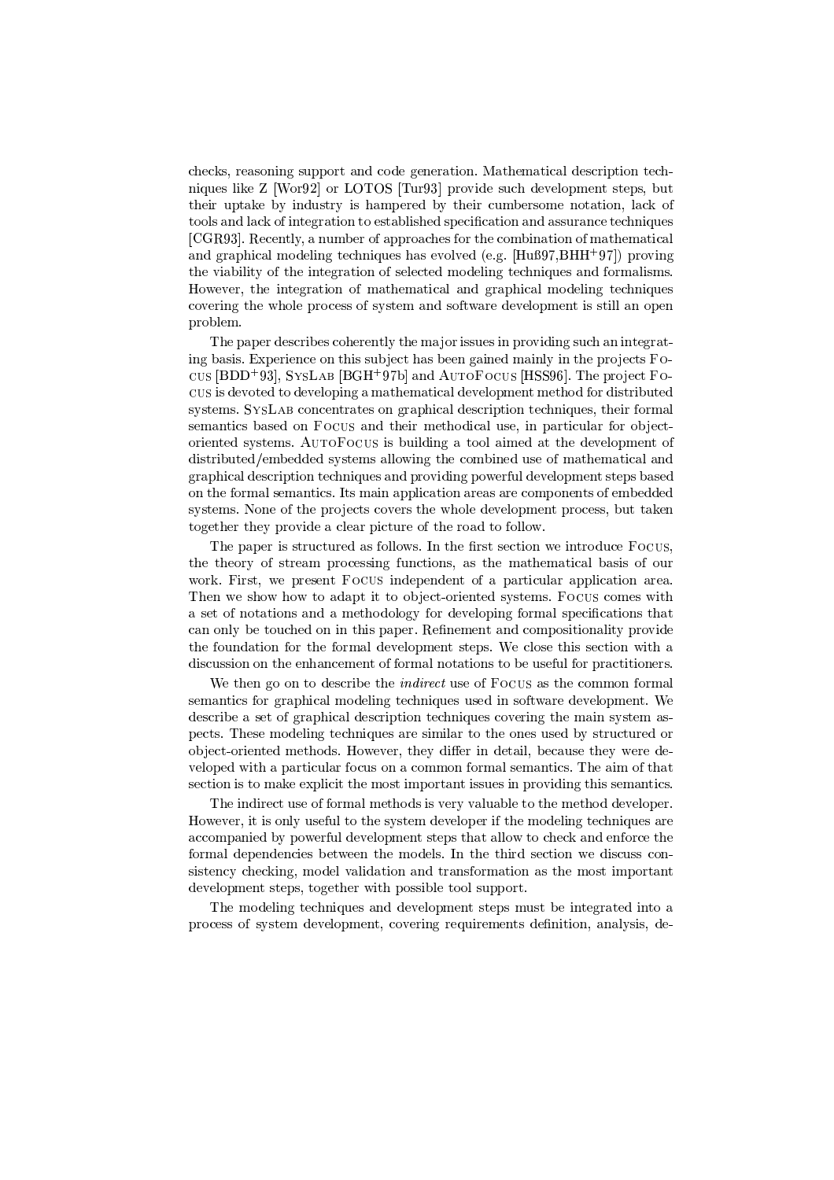checks, reasoning support and code generation. Mathematical description techniques like Z [Wor92] or LOTOS [Tur93] provide such development steps, but their uptake by industry is hampered by their cumbersome notation, lack of tools and lack of integration to established specification and assurance techniques [CGR93]. Recently, a number of approaches for the combination of mathematical and graphical modeling techniques has evolved (e.g.  $[Hu$97.BHH<sup>+</sup>97]$ ) proving the viability of the integration of selected modeling techniques and formalisms. However, the integration of mathematical and graphical modeling techniques covering the whole process of system and software development is still an open problem.

The paper describes coherently the major issues in providing such an integrating basis. Experience on this subject has been gained mainly in the projects Fo-CUS [BDD<sup>+</sup>93], SYSLAB [BGH<sup>+</sup>97b] and AUTOFOCUS [HSS96]. The project FOcus is devoted to developing a mathematical development method for distributed systems. SysLAB concentrates on graphical description techniques, their formal semantics based on FOCUS and their methodical use, in particular for objectoriented systems. AUTOFOCUS is building a tool aimed at the development of distributed/embedded systems allowing the combined use of mathematical and graphical description techniques and providing powerful development steps based on the formal semantics. Its main application areas are components of embedded systems. None of the projects covers the whole development process, but taken together they provide a clear picture of the road to follow.

The paper is structured as follows. In the first section we introduce FOCUS. the theory of stream processing functions, as the mathematical basis of our work. First, we present Focus independent of a particular application area. Then we show how to adapt it to object-oriented systems. FOCUS comes with a set of notations and a methodology for developing formal specifications that can only be touched on in this paper. Refinement and compositionality provide the foundation for the formal development steps. We close this section with a discussion on the enhancement of formal notations to be useful for practitioners.

We then go on to describe the *indirect* use of Focus as the common formal semantics for graphical modeling techniques used in software development. We describe a set of graphical description techniques covering the main system aspects. These modeling techniques are similar to the ones used by structured or object-oriented methods. However, they differ in detail, because they were developed with a particular focus on a common formal semantics. The aim of that section is to make explicit the most important issues in providing this semantics.

The indirect use of formal methods is very valuable to the method developer. However, it is only useful to the system developer if the modeling techniques are accompanied by powerful development steps that allow to check and enforce the formal dependencies between the models. In the third section we discuss consistency checking, model validation and transformation as the most important development steps, together with possible tool support.

The modeling techniques and development steps must be integrated into a process of system development, covering requirements definition, analysis, de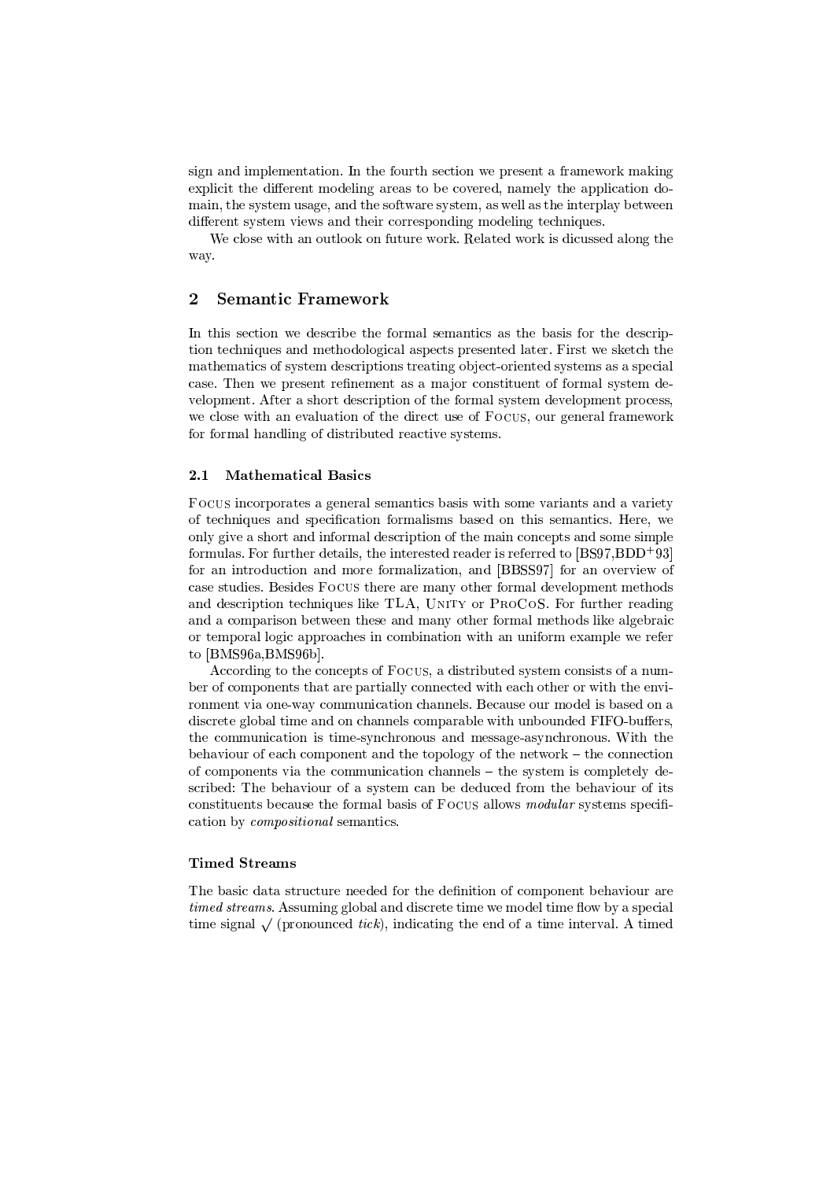sign and implementation. In the fourth section we present a framework making explicit the different modeling areas to be covered, namely the application domain, the system usage, and the software system, as well as the interplay between different system views and their corresponding modeling techniques.

We close with an outlook on future work. Related work is dicussed along the way.

### $\overline{2}$ **Semantic Framework**

In this section we describe the formal semantics as the basis for the description techniques and methodological aspects presented later. First we sketch the mathematics of system descriptions treating object-oriented systems as a special case. Then we present refinement as a major constituent of formal system development. After a short description of the formal system development process, we close with an evaluation of the direct use of FOCUS, our general framework for formal handling of distributed reactive systems.

### $2.1$ **Mathematical Basics**

FOCUS incorporates a general semantics basis with some variants and a variety of techniques and specification formalisms based on this semantics. Here, we only give a short and informal description of the main concepts and some simple formulas. For further details, the interested reader is referred to  $[BS97, BDD+93]$ for an introduction and more formalization, and [BBSS97] for an overview of case studies. Besides FOCUS there are many other formal development methods and description techniques like TLA, UNITY or PROCOS. For further reading and a comparison between these and many other formal methods like algebraic or temporal logic approaches in combination with an uniform example we refer to [BMS96a, BMS96b].

According to the concepts of FOCUS, a distributed system consists of a number of components that are partially connected with each other or with the environment via one-way communication channels. Because our model is based on a discrete global time and on channels comparable with unbounded FIFO-buffers, the communication is time-synchronous and message-asynchronous. With the behaviour of each component and the topology of the network – the connection of components via the communication channels – the system is completely described: The behaviour of a system can be deduced from the behaviour of its constituents because the formal basis of Focus allows modular systems specification by *compositional* semantics.

### **Timed Streams**

The basic data structure needed for the definition of component behaviour are *timed streams.* Assuming global and discrete time we model time flow by a special time signal  $\sqrt{}$  (pronounced *tick*), indicating the end of a time interval. A timed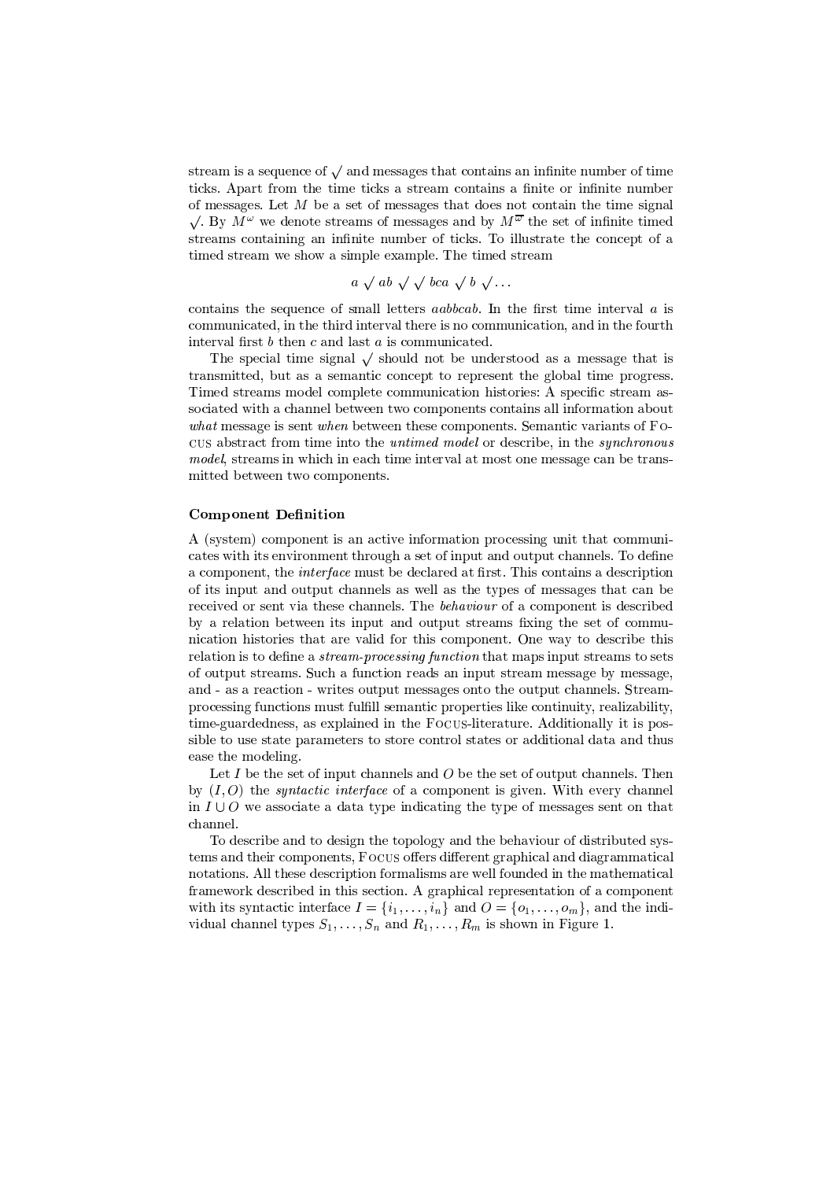$\blacksquare$  $\;$  $\blacksquare$  $\ell$  . The state of the state of the state of the state of the state of the state of the state of the state of the state of the state of the state of the state of the state of the state of the state of the state of the st  $\blacksquare$ \?]WY>A@`j\?<?>A79W%ÅD>`xUJEGÅ 7Y`x]WYXJ½>>4ÉJ79WYXJ½>ZÃJÈRUJ>\?]WY>A@`j\?<?>A79W

$$
a \sqrt{ab} \sqrt{bc}a \sqrt{b} \sqrt{a}
$$

 $\lambda$  antoing the geomenes of small letters ookhook. In the first time interval  $\lambda$  is  $T$  , and the state of the state of the state  $\mathcal{P}$  and  $\mathcal{P}$  and  $\mathcal{P}$  $\mathbf{S}$  , the signal distribution  $\mathbf{S}$ 

The special time signal  $\sqrt$  should not be understood as a message that is  $\;$  A  $\;$  A  $\;$  1  $\;$  1  $\;$  1  $\;$  1  $\;$  1  $\;$  1  $\;$  1  $\;$  1  $\;$  1  $\;$  1  $\;$  1  $\;$  1  $\;$  1  $\;$  1  $\;$  1  $\;$  1  $\;$  1  $\;$  1  $\;$  1  $\;$  1  $\;$  1  $\;$  1  $\;$  1  $\;$  1  $\;$  1  $\;$  1  $\;$  1  $\;$  1  $\;$  1  $\;$ Timed streams model complete communication histories: A specific stream as- $\mathcal{F}=\mathcal{F}=\mathcal{F}=\mathcal{F}=\mathcal{F}=\mathcal{F}=\mathcal{F}=\mathcal{F}=\mathcal{F}=\mathcal{F}=\mathcal{F}=\mathcal{F}=\mathcal{F}=\mathcal{F}=\mathcal{F}=\mathcal{F}=\mathcal{F}=\mathcal{F}=\mathcal{F}=\mathcal{F}=\mathcal{F}=\mathcal{F}=\mathcal{F}=\mathcal{F}=\mathcal{F}=\mathcal{F}=\mathcal{F}=\mathcal{F}=\mathcal{F}=\mathcal{F}=\mathcal{F}=\mathcal{F}=\mathcal{F}=\mathcal{F}=\mathcal{F}=\mathcal{F}=\mathcal{$  $what$  message is sent when between these components. Semantic variants of F0-CUS abstract from time into the *untimed model* or describe, in the *synchronous* model, streams in which in each time interval at most one message can be trans- $\mathcal{M}$  , and the contract of the contract of the contract of the contract of the contract of the contract of the contract of the contract of the contract of the contract of the contract of the contract of the contract o

### **Component Definition**

 $\blacksquare$  $\blacksquare$ a component, the *interface* must be declared at first. This contains a description  $\mathbb{Z}$ 8. Android: The second particle  $\mathbb{Z}$  and  $\mathbb{Z}$  and  $\mathbb{Z}$  and  $\mathbb{Z}$  and  $\mathbb{Z}$  and  $\mathbb{Z}$  and  $\mathbb{Z}$  and  $\mathbb{Z}$  and  $\mathbb{Z}$  and  $\mathbb{Z}$  and  $\mathbb{Z}$  and  $\mathbb{Z}$  and  $\mathbb{Z}$  and  $\mathbb{Z}$  and  $\mathcal{P}$  , the and the Taulor and  $\mathcal{P}$  and  $\mathcal{P}$  are the  $\mathcal{P}$ by a relation between its input and output streams fixing the set of commu- $\Gamma$  and the state  $\Gamma$  and the state  $\Gamma$  and  $\Gamma$  and  $\Gamma$  are the state  $\Gamma$ relation is to define a *stream-processing function* that maps input streams to sets  $\blacksquare$  $\mathcal{F}^*$  and  $\mathcal{F}^*$  are zero. An axis and  $\mathcal{F}^*$  are zero. An axis and  $\mathcal{F}^*$  $\mathcal{L}=\mathcal{L}=\mathcal{L}=\mathcal{L}=\mathcal{L}$  $\mathcal{A}$  , and a substitute the state of  $\mathcal{A}$  ,  $\mathcal{A}$  ,  $\mathcal{A}$  ,  $\mathcal{A}$  ,  $\mathcal{A}$  ,  $\mathcal{A}$  ,  $\mathcal{A}$  ,  $\mathcal{A}$  ,  $\mathcal{A}$  ,  $\mathcal{A}$  ,  $\mathcal{A}$  ,  $\mathcal{A}$  ,  $\mathcal{A}$  ,  $\mathcal{A}$  ,  $\mathcal{A}$  ,  $\mathcal{A}$  ,  $\mathcal$ sible to use state parameters to store control states or additional data and thus  $\blacksquare$ 

Let I be the set of input channels and O be the set of output channels. Then O\_F \*&,+-(\?UJ> < Gá"7zë587nâ 5-âÄá"7zä834ë5KäE9:'7T4EZWYXPEZ8J>!8f\]p`¾Z]¿Z>!8Ã2-2]\?UÑ>!¿Z>!<?F¢TKUQ798J8J>!½]8.&0/1( ÅD>)7Z`?`xE;T4]p7G\?>7-@J7G\K7Y\jF\_XP>]8Q@;]pT!7G\?]8J¾\?UJ>\jF\_XP>E9:0WY>A`?`?79¾Z>A`'`x>!8f\©EZ8\?UQ7G\ channel.

To describe and to design the topology and the behaviour of distributed sys-\?>!WÁ`798Q@\?UJ>!] <T4EZWYXPEZ8J>!8f\K`!H E9ï>!<K`@;]ï>!<?>!8f\¾Z<K79XJUJ]pT!79½f798Q@@;]p79¾Z<K79WYWÁ7G\?]pT!79½ notations. All these description formalisms are well founded in the mathematical  $\,$ Å5]\?UC]\K`5`xF\_8f\K7ZT-\?]pT©]8f\?>!<x:7ZT4>0&24365876+

+85:9,;798Q@<(=243?>@7?+ +A>#BC;fHJ798Q@\?UJ>]8Q@;] <sup>Â</sup> ¿\_]p@;NQ79½TKUQ798J8J>!½\jF\_XP>A`EDF7?+

+-DG9-798Q@!H7?+

+AHIB°]p`'`xUJEGÅ58C]8I&]¾ZNJ<?>KJZÃ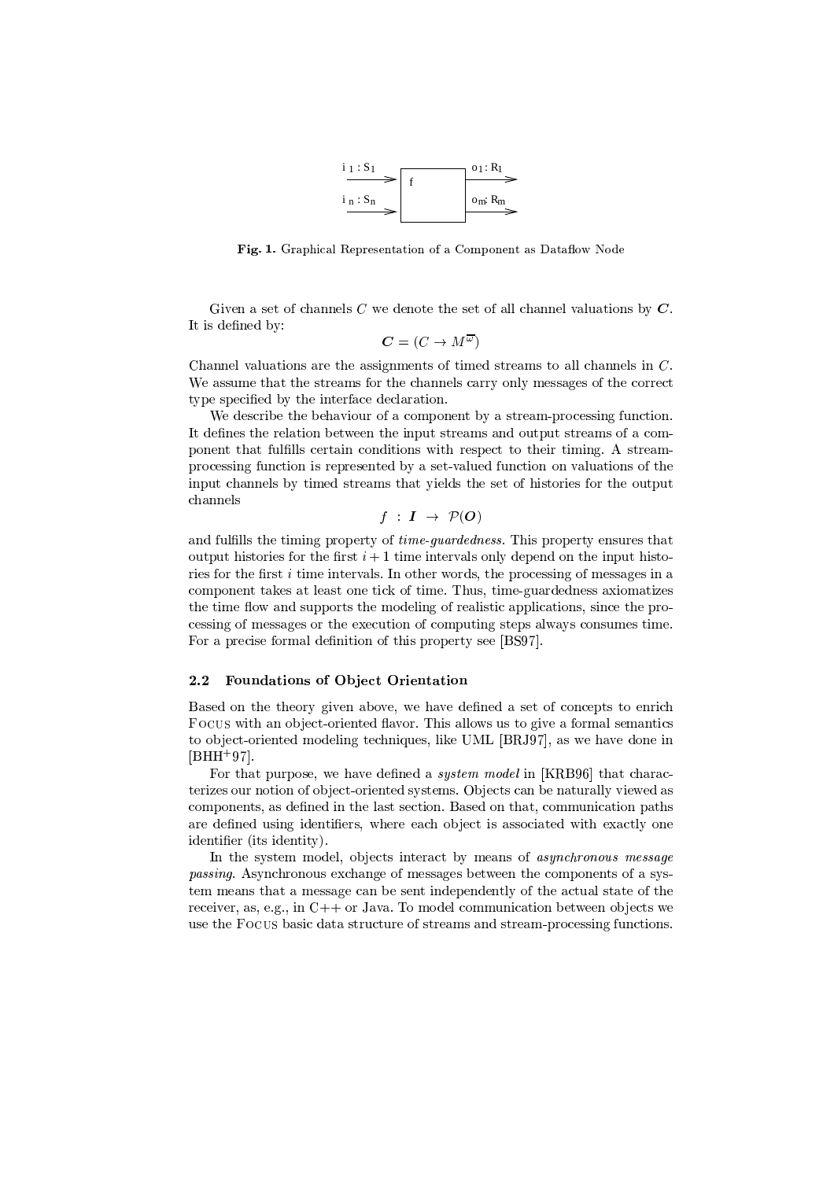

- \_kxb!¤fwfr v-b!eµuK¤ZkjuKyzuKmGgxb4gjroAmYo!ib &oAq¤;oAmfuKmGgµb!y0¦5b4gxb\_o-£
Do9 Zu

Given a set of channels C we denote the set of all channel valuations by  $C$ . It is defined by:

$$
\boldsymbol{C} = (C \to M^{\overline{\omega}})
$$

Channel valuations are the assignments of timed streams to all channels in  $C$ . -Ç>7Z`?`xNJWY>'\?UQ7G\R\?UJ>`j\?<?>A79WÁ`µ:=EZ<µ\?UJ>TKUQ798J8J>!½p`RT!79<?<?F)EZ8J½FÁWY>A`?`?79¾Z>A`µE9:\?UJ>T4EZ<?<?>AT-\ type specified by the interface declaration.

-Ç>@;>A`?T4<?]OP>\?UJ>OP>!UQ7¿\_]EZNJ<5E9:7YT4EZWYXPEZ8J>!8f\5O\_FC7Y`j\?<?>A79W)§XJ<?E;T4>A`?`x]8J¾:=NJ8QT-\?]EZ8Ã $\bullet$  and the state of the state  $\bullet$  and  $\bullet$  are arguments of the state of the state of the state of the state of the state of the state of the state of the state of the state of the state of the state of the state of th XPEZ8J>!8f\\?UQ7G\):=NJ½ÊQ½ ½p`)T4>!<x\K79]8ËT4EZ8Q@;]\?]EZ8Q`Å5]\?UË<?>A`xXP>AT-\\?E.\?UJ>!] <\?]WY]8J¾QÃÓ `j\?<?>A79W)Â  $\blacksquare$ : A  $\blacksquare$  . A  $\blacksquare$  . And . A set . A set . A set . A set . A set . A set . A set . A set . A set . A set . input channels by timed streams that yields the set of histories for the output channels

$$
f\;:\; \bm{I}\;\rightarrow\;\mathcal{P}(\bm{O})
$$

 $\blacksquare$  and  $\blacksquare$ output histories for the first  $i+1$  time intervals only depend on the input histo-<?]>A`0:=EZ<D\?UJ>ÊQ<K`j\ 5\?]WY>©]8f\?>!<?¿G79½p`!Ã -z8-E9\?UJ>!<DÅDEZ<K@J`!HZ\?UJ>©XJ<?E;T4>A`?`x]8J¾E9:WY>A`?`?79¾Z>A`0]8C7component takes at least one tick of time. Thus, time-guardedness axiomatizes the time flow and supports the modeling of realistic applications, since the processing of messages or the execution of computing steps always consumes time. . AT4A 41. AT4AT4. AT4AT4.

### 2.2 Foundations of Object Orientation

Based on the theory given above, we have defined a set of concepts to enrich  $\mathbf{F}$  . It is a formulate  $\mathbf{F}$  $\blacksquare$  $[BHH+97]$ .

IJEZ<\?UQ7G\XJNJ<?XPEf`x>ZHPÅD>)UQ7¿Z>@;>4ÊQ8J>A@Ç7 < =< 7zä7 7ÁçAåZä4èQ]8ÌÔ[V'BR×\*Ù\?UQ7G\TKUQ79<K7ZT-Â terizes our notion of object-oriented systems. Objects can be naturally viewed as components, as defined in the last section. Based on that, communication paths  $\blacksquare$  $identifier$  (its identity).

In the system model, objects interact by means of *asynchronous message* passing. Asynchronous exchange of messages between the components of a sys- $\;$  A798  $\;$ AT4) AT4 (AT4) AT4 (AT4) AT4 & AT4 (AT4) AT4 (AT4) AT4 (AT4) AT4 (AT4) AT4 (AT4) AT4 (AT4) AT4 (AT4) AT4 (AT4) AT4 (AT4) AT4 (AT4) AT4 (AT4) AT4 (AT4) AT4 (AT4) AT4 (AT4) AT4 (AT4) AT4 (AT4) AT4 (AT4) AT4 (AT4) AT4 (AT4) A  $N$  , the state  $N$  is a state  $N$  and  $N$  are argued to  $N$  and  $N$  and  $N$  are argued to  $N$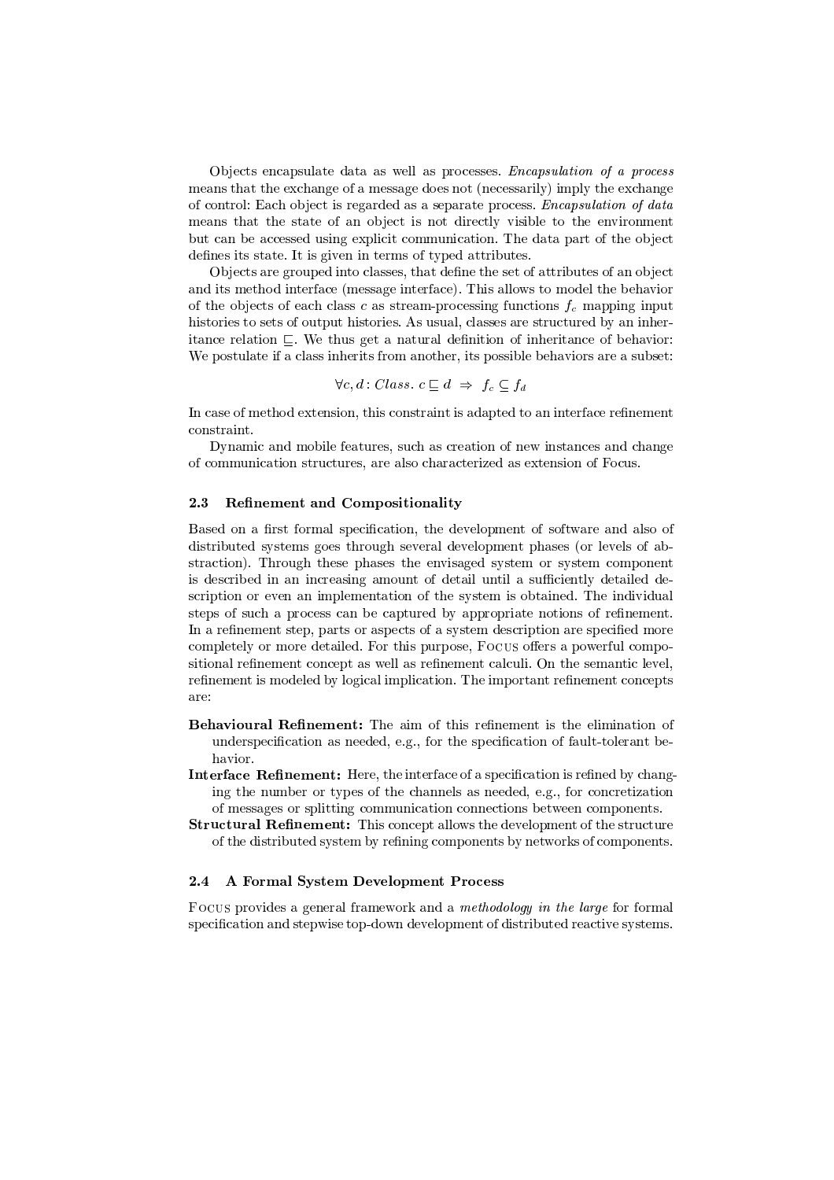Objects encapsulate data as well as processes. *Encapsulation of a process* means that the exchange of a message does not (necessarily) imply the exchange of control: Each object is regarded as a separate process. Encapsulation of data means that the state of an object is not directly visible to the environment but can be accessed using explicit communication. The data part of the object defines its state. It is given in terms of typed attributes.

Objects are grouped into classes, that define the set of attributes of an object and its method interface (message interface). This allows to model the behavior of the objects of each class c as stream-processing functions  $f_c$  mapping input histories to sets of output histories. As usual, classes are structured by an inheritance relation  $\subseteq$ . We thus get a natural definition of inheritance of behavior: We postulate if a class inherits from another, its possible behaviors are a subset:

$$
\forall c, d : Class. \ c \sqsubseteq d \ \Rightarrow \ f_c \subseteq f_d
$$

In case of method extension, this constraint is adapted to an interface refinement constraint.

Dynamic and mobile features, such as creation of new instances and change of communication structures, are also characterized as extension of Focus.

### 2.3 **Refinement and Compositionality**

Based on a first formal specification, the development of software and also of distributed systems goes through several development phases (or levels of abstraction). Through these phases the envisaged system or system component is described in an increasing amount of detail until a sufficiently detailed description or even an implementation of the system is obtained. The individual steps of such a process can be captured by appropriate notions of refinement. In a refinement step, parts or aspects of a system description are specified more completely or more detailed. For this purpose, Focus offers a powerful compositional refinement concept as well as refinement calculi. On the semantic level, refinement is modeled by logical implication. The important refinement concepts are:

Behavioural Refinement: The aim of this refinement is the elimination of underspecification as needed, e.g., for the specification of fault-tolerant behavior.

**Interface Refinement:** Here, the interface of a specification is refined by changing the number or types of the channels as needed, e.g., for concretization of messages or splitting communication connections between components.

**Structural Refinement:** This concept allows the development of the structure of the distributed system by refining components by networks of components.

### $2.4$ **A Formal System Development Process**

FOCUS provides a general framework and a methodology in the large for formal specification and stepwise top-down development of distributed reactive systems.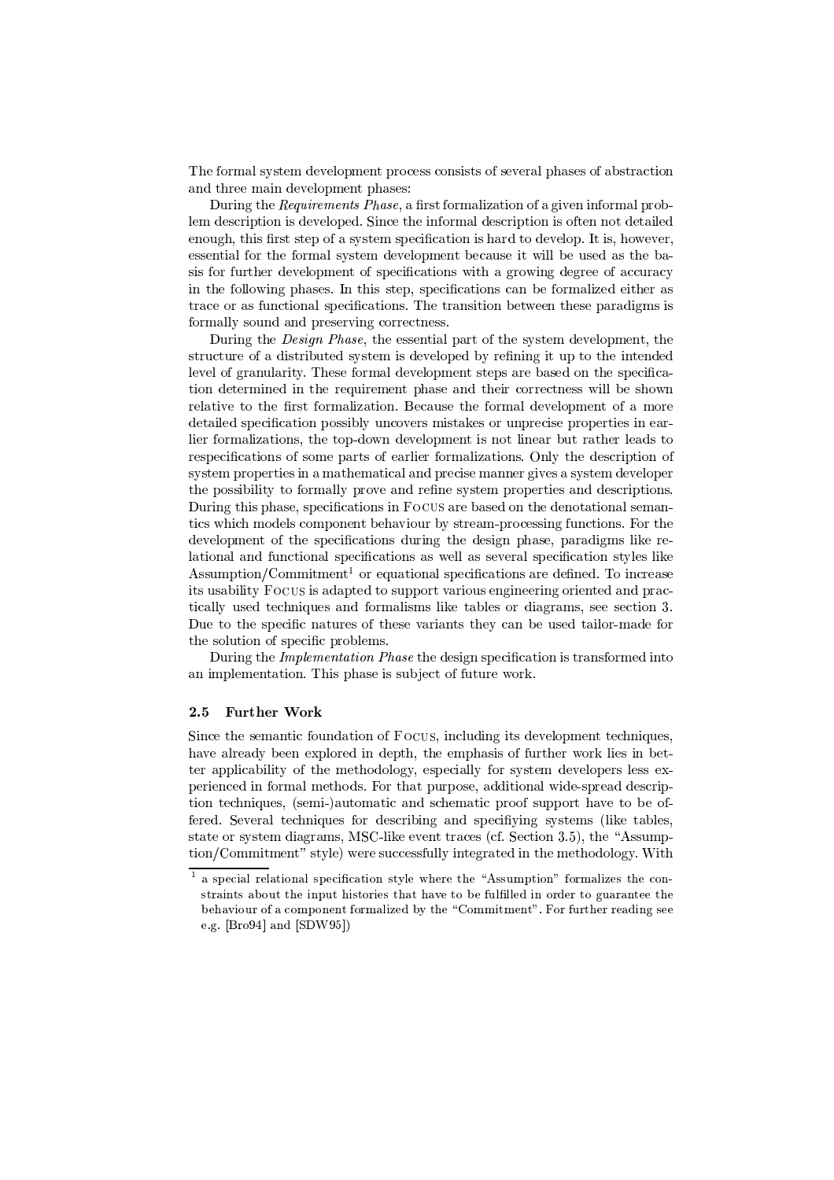The formal system development process consists of several phases of abstraction and three main development phases:

During the Requirements Phase, a first formalization of a given informal problem description is developed. Since the informal description is often not detailed enough, this first step of a system specification is hard to develop. It is, however, essential for the formal system development because it will be used as the basis for further development of specifications with a growing degree of accuracy in the following phases. In this step, specifications can be formalized either as trace or as functional specifications. The transition between these paradigms is formally sound and preserving correctness.

During the *Design Phase*, the essential part of the system development, the structure of a distributed system is developed by refining it up to the intended level of granularity. These formal development steps are based on the specification determined in the requirement phase and their correctness will be shown relative to the first formalization. Because the formal development of a more detailed specification possibly uncovers mistakes or unprecise properties in earlier formalizations, the top-down development is not linear but rather leads to respecifications of some parts of earlier formalizations. Only the description of system properties in a mathematical and precise manner gives a system developer the possibility to formally prove and refine system properties and descriptions. During this phase, specifications in Focus are based on the denotational semantics which models component behaviour by stream-processing functions. For the development of the specifications during the design phase, paradigms like relational and functional specifications as well as several specification styles like Assumption/Commitment<sup>1</sup> or equational specifications are defined. To increase its usability FOCUS is adapted to support various engineering oriented and practically used techniques and formalisms like tables or diagrams, see section 3. Due to the specific natures of these variants they can be used tailor-made for the solution of specific problems.

During the *Implementation Phase* the design specification is transformed into an implementation. This phase is subject of future work.

### 2.5 Further Work

Since the semantic foundation of FOCUS, including its development techniques, have already been explored in depth, the emphasis of further work lies in better applicability of the methodology, especially for system developers less experienced in formal methods. For that purpose, additional wide-spread description techniques, (semi-)automatic and schematic proof support have to be offered. Several techniques for describing and specifiying systems (like tables, state or system diagrams, MSC-like event traces (cf. Section 3.5), the "Assumption/Commitment" style) were successfully integrated in the methodology. With

 $^{-1}$  a special relational specification style where the "Assumption" formalizes the constraints about the input histories that have to be fulfilled in order to guarantee the behaviour of a component formalized by the "Commitment". For further reading see e.g. [ $Bro94$ ] and  $(SDW95$ ]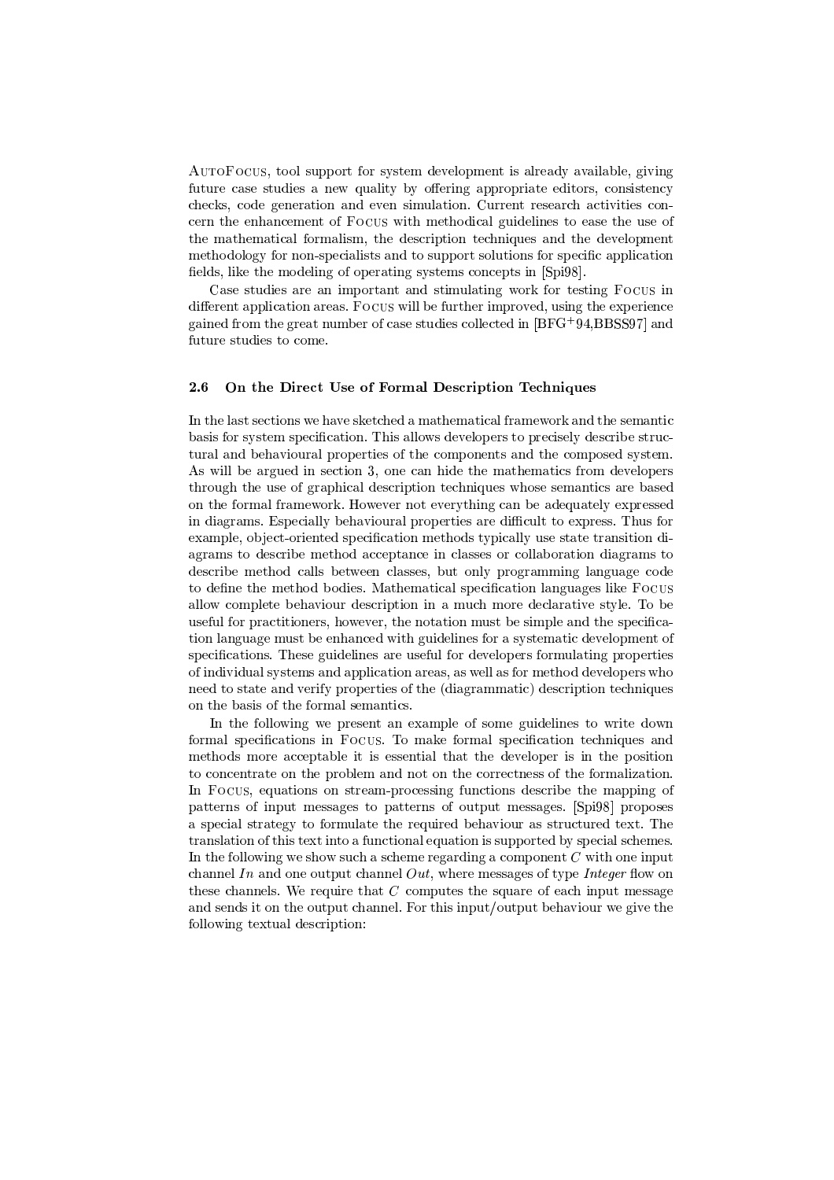AUTOFOCUS, tool support for system development is already available, giving future case studies a new quality by offering appropriate editors, consistency checks, code generation and even simulation. Current research activities concern the enhancement of Focus with methodical guidelines to ease the use of the mathematical formalism, the description techniques and the development methodology for non-specialists and to support solutions for specific application fields, like the modeling of operating systems concepts in [Spi98].

Case studies are an important and stimulating work for testing Focus in different application areas. Focus will be further improved, using the experience gained from the great number of case studies collected in [BFG+94,BBSS97] and future studies to come.

#### $2.6$ On the Direct Use of Formal Description Techniques

In the last sections we have sketched a mathematical framework and the semantic basis for system specification. This allows developers to precisely describe structural and behavioural properties of the components and the composed system. As will be argued in section 3, one can hide the mathematics from developers through the use of graphical description techniques whose semantics are based on the formal framework. However not everything can be adequately expressed in diagrams. Especially behavioural properties are difficult to express. Thus for example, object-oriented specification methods typically use state transition diagrams to describe method acceptance in classes or collaboration diagrams to describe method calls between classes, but only programming language code to define the method bodies. Mathematical specification languages like FOCUS allow complete behaviour description in a much more declarative style. To be useful for practitioners, however, the notation must be simple and the specification language must be enhanced with guidelines for a systematic development of specifications. These guidelines are useful for developers formulating properties of individual systems and application areas, as well as for method developers who need to state and verify properties of the (diagrammatic) description techniques on the basis of the formal semantics.

In the following we present an example of some guidelines to write down formal specifications in FOCUS. To make formal specification techniques and methods more acceptable it is essential that the developer is in the position to concentrate on the problem and not on the correctness of the formalization. In Focus, equations on stream-processing functions describe the mapping of patterns of input messages to patterns of output messages. [Spi98] proposes a special strategy to formulate the required behaviour as structured text. The translation of this text into a functional equation is supported by special schemes. In the following we show such a scheme regarding a component  $C$  with one input channel In and one output channel  $Out$ , where messages of type Integer flow on these channels. We require that  $C$  computes the square of each input message and sends it on the output channel. For this input/output behaviour we give the following textual description: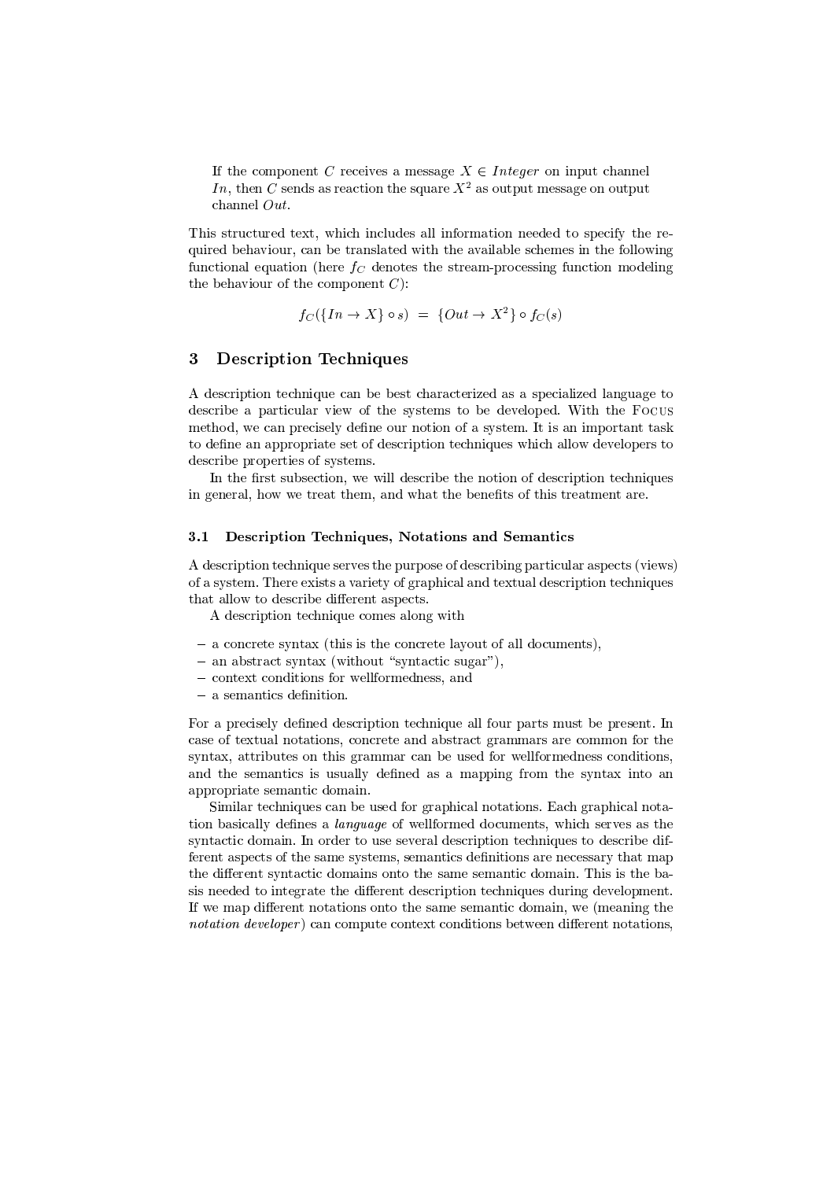If the component C receives a message  $X \in Integer$  on input channel In, then C sends as reaction the square  $X^2$  as output message on output channel  $Out.$ 

This structured text, which includes all information needed to specify the required behaviour, can be translated with the available schemes in the following functional equation (here  $f_C$  denotes the stream-processing function modeling the behaviour of the component  $C$ :

$$
f_C(\lbrace In \to X \rbrace \circ s) = \lbrace Out \to X^2 \rbrace \circ f_C(s)
$$

### **Description Techniques** 3

A description technique can be best characterized as a specialized language to describe a particular view of the systems to be developed. With the Focus method, we can precisely define our notion of a system. It is an important task to define an appropriate set of description techniques which allow developers to describe properties of systems.

In the first subsection, we will describe the notion of description techniques in general, how we treat them, and what the benefits of this treatment are.

#### **Description Techniques, Notations and Semantics**  $3.1$

A description technique serves the purpose of describing particular aspects (views) of a system. There exists a variety of graphical and textual description techniques that allow to describe different aspects.

- A description technique comes along with
- a concrete syntax (this is the concrete layout of all documents),
- an abstract syntax (without "syntactic sugar"),
- context conditions for wellformedness, and
- $-$  a semantics definition.

For a precisely defined description technique all four parts must be present. In case of textual notations, concrete and abstract grammars are common for the syntax, attributes on this grammar can be used for wellformedness conditions, and the semantics is usually defined as a mapping from the syntax into an appropriate semantic domain.

Similar techniques can be used for graphical notations. Each graphical notation basically defines a *language* of wellformed documents, which serves as the syntactic domain. In order to use several description techniques to describe different aspects of the same systems, semantics definitions are necessary that map the different syntactic domains onto the same semantic domain. This is the basis needed to integrate the different description techniques during development. If we map different notations onto the same semantic domain, we (meaning the *notation developer*) can compute context conditions between different notations,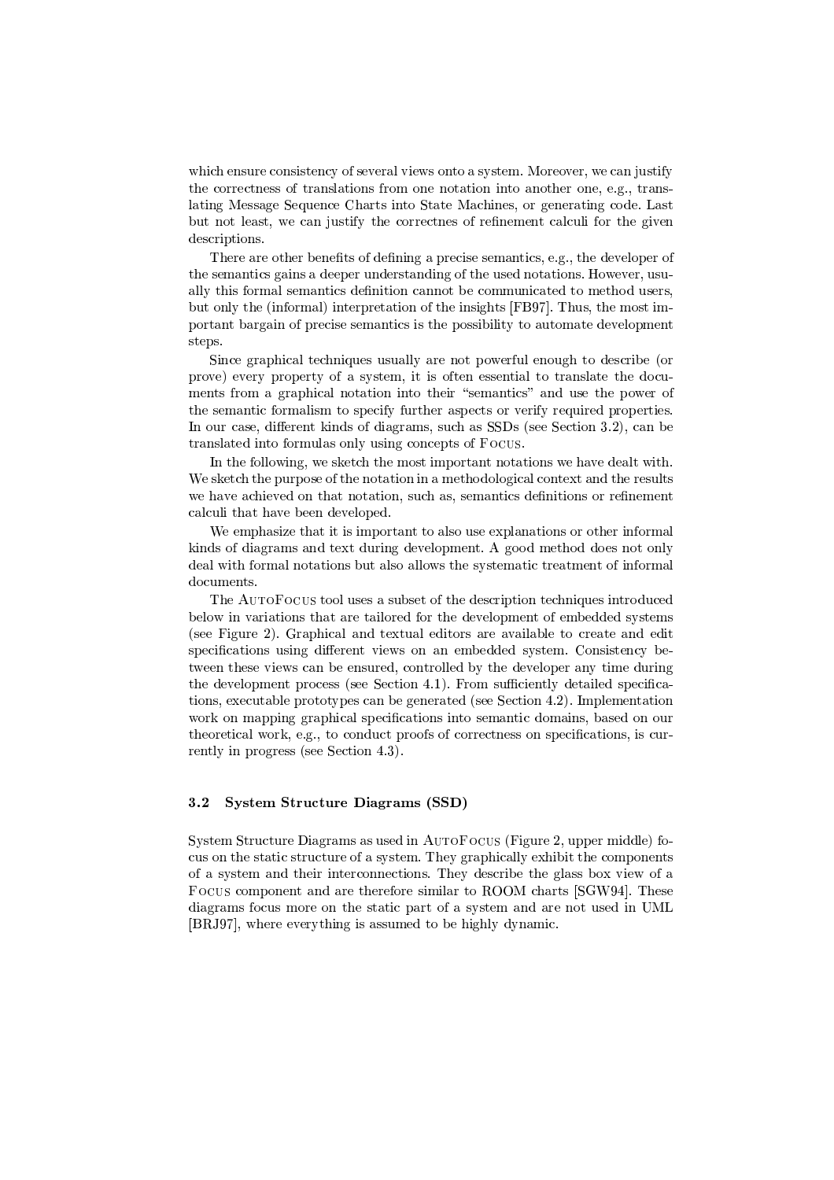which ensure consistency of several views onto a system. Moreover, we can justify the correctness of translations from one notation into another one, e.g., translating Message Sequence Charts into State Machines, or generating code. Last but not least, we can justify the correctnes of refinement calculi for the given descriptions.

There are other benefits of defining a precise semantics, e.g., the developer of the semantics gains a deeper understanding of the used notations. However, usually this formal semantics definition cannot be communicated to method users. but only the (informal) interpretation of the insights [FB97]. Thus, the most important bargain of precise semantics is the possibility to automate development steps.

Since graphical techniques usually are not powerful enough to describe (or prove) every property of a system, it is often essential to translate the documents from a graphical notation into their "semantics" and use the power of the semantic formalism to specify further aspects or verify required properties. In our case, different kinds of diagrams, such as SSDs (see Section 3.2), can be translated into formulas only using concepts of FOCUS.

In the following, we sketch the most important notations we have dealt with. We sketch the purpose of the notation in a methodological context and the results we have achieved on that notation, such as, semantics definitions or refinement calculi that have been developed.

We emphasize that it is important to also use explanations or other informal kinds of diagrams and text during development. A good method does not only deal with formal notations but also allows the systematic treatment of informal documents.

The AUTOFOCUS tool uses a subset of the description techniques introduced below in variations that are tailored for the development of embedded systems (see Figure 2). Graphical and textual editors are available to create and edit specifications using different views on an embedded system. Consistency between these views can be ensured, controlled by the developer any time during the development process (see Section 4.1). From sufficiently detailed specifications, executable prototypes can be generated (see Section 4.2). Implementation work on mapping graphical specifications into semantic domains, based on our theoretical work, e.g., to conduct proofs of correctness on specifications, is currently in progress (see Section 4.3).

### $3.2$ **System Structure Diagrams (SSD)**

System Structure Diagrams as used in AUTOFOCUS (Figure 2, upper middle) focus on the static structure of a system. They graphically exhibit the components of a system and their interconnections. They describe the glass box view of a FOCUS component and are therefore similar to ROOM charts [SGW94]. These diagrams focus more on the static part of a system and are not used in UML [BRJ97], where everything is assumed to be highly dynamic.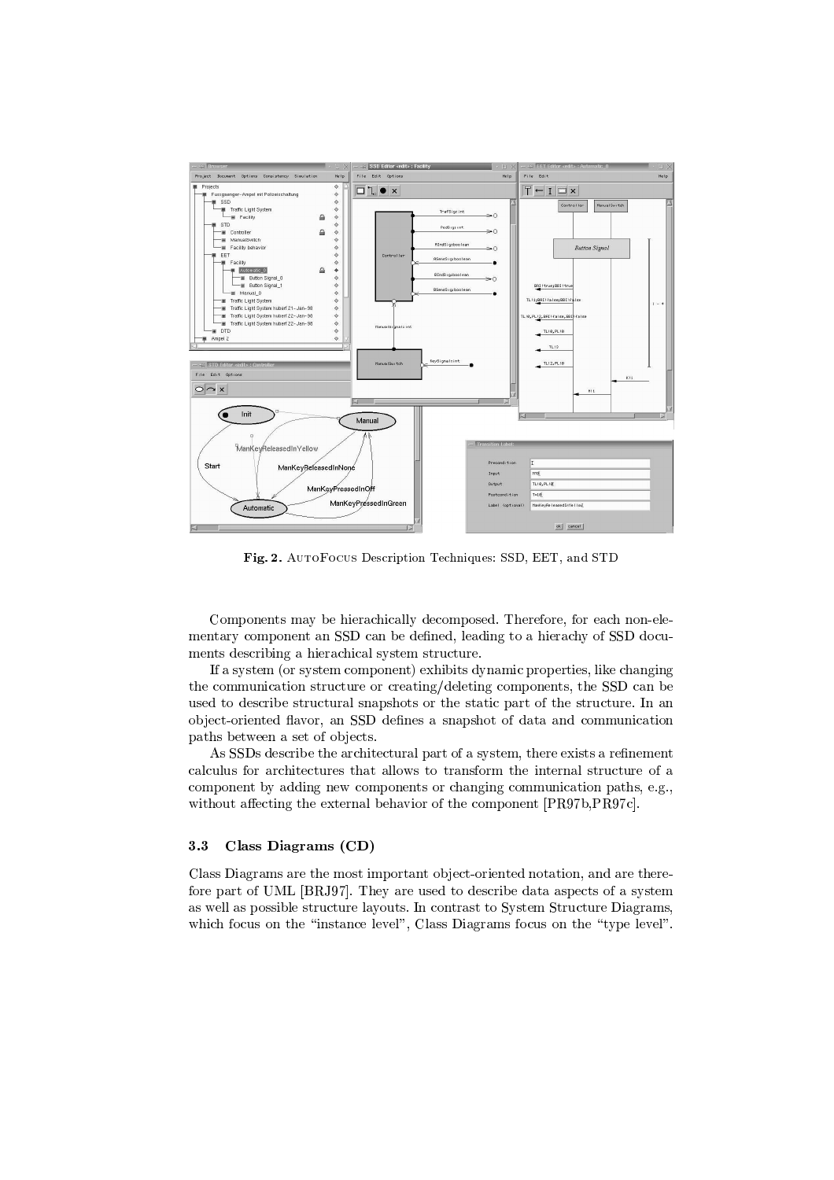

Fig. 2. AUTOFOCUS Description Techniques: SSD, EET, and STD

Components may be hierachically decomposed. Therefore, for each non-elementary component an SSD can be defined, leading to a hierachy of SSD documents describing a hierachical system structure.

If a system (or system component) exhibits dynamic properties, like changing the communication structure or creating/deleting components, the SSD can be used to describe structural snapshots or the static part of the structure. In an object-oriented flavor, an SSD defines a snapshot of data and communication paths between a set of objects.

As SSDs describe the architectural part of a system, there exists a refinement calculus for architectures that allows to transform the internal structure of a component by adding new components or changing communication paths, e.g., without affecting the external behavior of the component [PR97b, PR97c].

### Class Diagrams (CD) 3.3

Class Diagrams are the most important object-oriented notation, and are therefore part of UML [BRJ97]. They are used to describe data aspects of a system as well as possible structure layouts. In contrast to System Structure Diagrams, which focus on the "instance level", Class Diagrams focus on the "type level".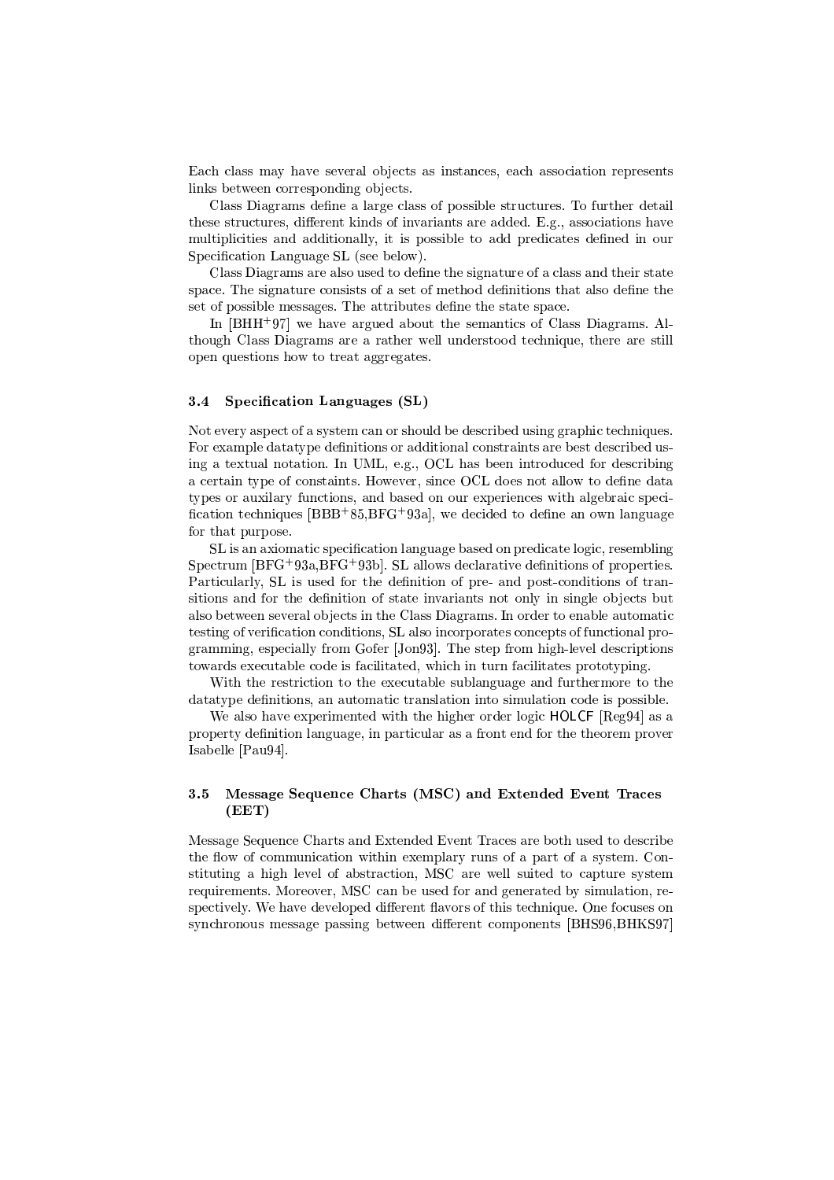Each class may have several objects as instances, each association represents links between corresponding objects.

Class Diagrams define a large class of possible structures. To further detail these structures, different kinds of invariants are added. E.g., associations have multiplicities and additionally, it is possible to add predicates defined in our Specification Language SL (see below).

Class Diagrams are also used to define the signature of a class and their state space. The signature consists of a set of method definitions that also define the set of possible messages. The attributes define the state space.

In  $[BHH<sup>+</sup>97]$  we have argued about the semantics of Class Diagrams. Although Class Diagrams are a rather well understood technique, there are still open questions how to treat aggregates.

### $3.4$ **Specification Languages (SL)**

Not every aspect of a system can or should be described using graphic techniques. For example data type definitions or additional constraints are best described using a textual notation. In UML, e.g., OCL has been introduced for describing a certain type of constaints. However, since OCL does not allow to define data types or auxiliary functions, and based on our experiences with algebraic specification techniques  $[BBB<sup>+</sup>85,BFG<sup>+</sup>93a]$ , we decided to define an own language for that purpose.

SL is an axiomatic specification language based on predicate logic, resembling Spectrum [BFG<sup>+</sup>93a, BFG<sup>+</sup>93b]. SL allows declarative definitions of properties. Particularly, SL is used for the definition of pre- and post-conditions of transitions and for the definition of state invariants not only in single objects but also between several objects in the Class Diagrams. In order to enable automatic testing of verification conditions, SL also incorporates concepts of functional programming, especially from Gofer [Jon93]. The step from high-level descriptions towards executable code is facilitated, which in turn facilitates prototyping.

With the restriction to the executable sublanguage and furthermore to the datatype definitions, an automatic translation into simulation code is possible.

We also have experimented with the higher order logic HOLCF [Reg94] as a property definition language, in particular as a front end for the theorem prover Isabelle [Pau94].

### $3.5$ Message Sequence Charts (MSC) and Extended Event Traces  $(EET)$

Message Sequence Charts and Extended Event Traces are both used to describe the flow of communication within exemplary runs of a part of a system. Constituting a high level of abstraction, MSC are well suited to capture system requirements. Moreover, MSC can be used for and generated by simulation, respectively. We have developed different flavors of this technique. One focuses on synchronous message passing between different components [BHS96,BHKS97]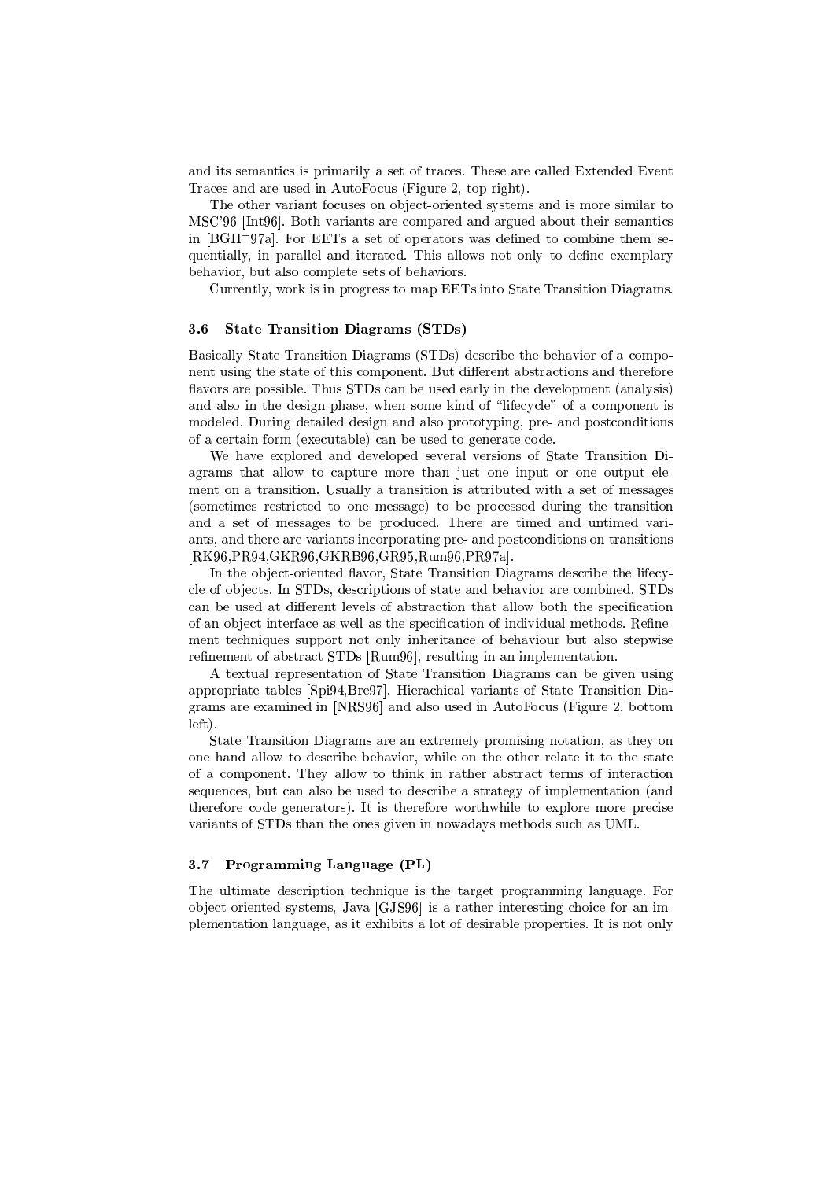and its semantics is primarily a set of traces. These are called Extended Event Traces and are used in AutoFocus (Figure 2, top right).

The other variant focuses on object-oriented systems and is more similar to MSC'96 [Int96]. Both variants are compared and argued about their semantics in [BGH<sup>+97</sup>a]. For EETs a set of operators was defined to combine them sequentially, in parallel and iterated. This allows not only to define exemplary behavior, but also complete sets of behaviors.

Currently, work is in progress to map EETs into State Transition Diagrams.

#### 3.6 **State Transition Diagrams (STDs)**

Basically State Transition Diagrams (STDs) describe the behavior of a component using the state of this component. But different abstractions and therefore flavors are possible. Thus STDs can be used early in the development (analysis) and also in the design phase, when some kind of "lifecycle" of a component is modeled. During detailed design and also prototyping, pre- and postconditions of a certain form (executable) can be used to generate code.

We have explored and developed several versions of State Transition Diagrams that allow to capture more than just one input or one output element on a transition. Usually a transition is attributed with a set of messages (sometimes restricted to one message) to be processed during the transition and a set of messages to be produced. There are timed and untimed variants, and there are variants incorporating pre- and postconditions on transitions [RK96, PR94, GKR96, GKRB96, GR95, Rum 96, PR97a].

In the object-oriented flavor, State Transition Diagrams describe the lifecycle of objects. In STDs, descriptions of state and behavior are combined. STDs can be used at different levels of abstraction that allow both the specification of an object interface as well as the specification of individual methods. Refinement techniques support not only inheritance of behaviour but also stepwise refinement of abstract STDs [Rum96], resulting in an implementation.

A textual representation of State Transition Diagrams can be given using appropriate tables [Spi94,Bre97]. Hierachical variants of State Transition Diagrams are examined in [NRS96] and also used in AutoFocus (Figure 2, bottom  $left$ ).

State Transition Diagrams are an extremely promising notation, as they on one hand allow to describe behavior, while on the other relate it to the state of a component. They allow to think in rather abstract terms of interaction sequences, but can also be used to describe a strategy of implementation (and therefore code generators). It is therefore worthwhile to explore more precise variants of STDs than the ones given in nowadays methods such as UML.

### 3.7 Programming Language (PL)

The ultimate description technique is the target programming language. For object-oriented systems, Java [GJS96] is a rather interesting choice for an implementation language, as it exhibits a lot of desirable properties. It is not only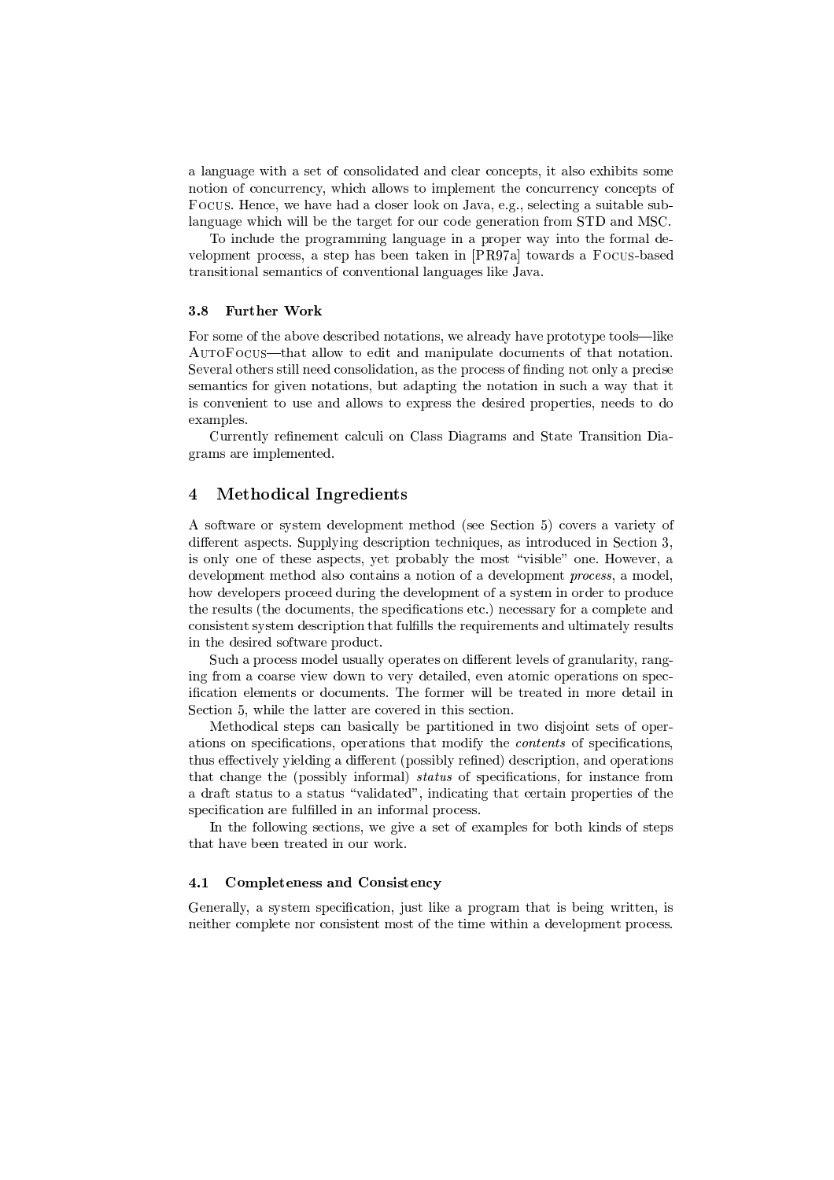a language with a set of consolidated and clear concepts, it also exhibits some notion of concurrency, which allows to implement the concurrency concepts of FOCUS. Hence, we have had a closer look on Java, e.g., selecting a suitable sublanguage which will be the target for our code generation from STD and MSC.

To include the programming language in a proper way into the formal development process, a step has been taken in [PR97a] towards a FOCUS-based transitional semantics of conventional languages like Java.

#### 3.8 **Further Work**

For some of the above described notations, we already have prototype tools—like AUTOFOCUS—that allow to edit and manipulate documents of that notation. Several others still need consolidation, as the process of finding not only a precise semantics for given notations, but adapting the notation in such a way that it is convenient to use and allows to express the desired properties, needs to do examples.

Currently refinement calculi on Class Diagrams and State Transition Diagrams are implemented.

### **Methodical Ingredients**  $\boldsymbol{\vartriangle}$

A software or system development method (see Section 5) covers a variety of different aspects. Supplying description techniques, as introduced in Section 3, is only one of these aspects, yet probably the most "visible" one. However, a development method also contains a notion of a development *process*, a model, how developers proceed during the development of a system in order to produce the results (the documents, the specifications etc.) necessary for a complete and consistent system description that fulfills the requirements and ultimately results in the desired software product.

Such a process model usually operates on different levels of granularity, ranging from a coarse view down to very detailed, even atomic operations on specification elements or documents. The former will be treated in more detail in Section 5, while the latter are covered in this section.

Methodical steps can basically be partitioned in two disjoint sets of operations on specifications, operations that modify the *contents* of specifications, thus effectively yielding a different (possibly refined) description, and operations that change the (possibly informal) *status* of specifications, for instance from a draft status to a status "validated", indicating that certain properties of the specification are fulfilled in an informal process.

In the following sections, we give a set of examples for both kinds of steps that have been treated in our work.

### **Completeness and Consistency**  $4.1$

Generally, a system specification, just like a program that is being written, is neither complete nor consistent most of the time within a development process.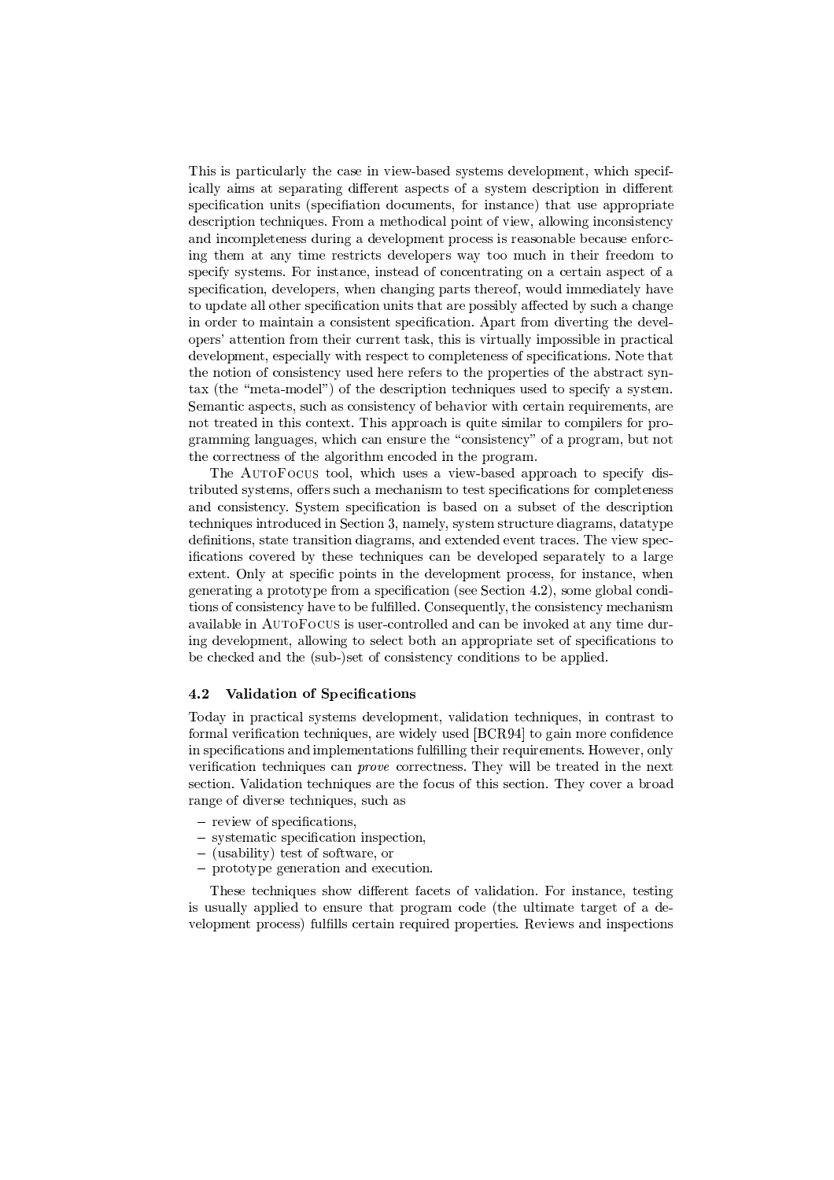This is particularly the case in view-based systems development, which specifically aims at separating different aspects of a system description in different specification units (specifiation documents, for instance) that use appropriate description techniques. From a methodical point of view, allowing inconsistency and incompleteness during a development process is reasonable because enforcing them at any time restricts developers way too much in their freedom to specify systems. For instance, instead of concentrating on a certain aspect of a specification, developers, when changing parts thereof, would immediately have to update all other specification units that are possibly affected by such a change in order to maintain a consistent specification. Apart from diverting the developers' attention from their current task, this is virtually impossible in practical development, especially with respect to completeness of specifications. Note that the notion of consistency used here refers to the properties of the abstract syntax (the "meta-model") of the description techniques used to specify a system. Semantic aspects, such as consistency of behavior with certain requirements, are not treated in this context. This approach is quite similar to compilers for programming languages, which can ensure the "consistency" of a program, but not the correctness of the algorithm encoded in the program.

The AUTOFOCUS tool, which uses a view-based approach to specify distributed systems, offers such a mechanism to test specifications for completeness and consistency. System specification is based on a subset of the description techniques introduced in Section 3, namely, system structure diagrams, datatype definitions, state transition diagrams, and extended event traces. The view specifications covered by these techniques can be developed separately to a large extent. Only at specific points in the development process, for instance, when generating a prototype from a specification (see Section 4.2), some global conditions of consistency have to be fulfilled. Consequently, the consistency mechanism available in AUTOFOCUS is user-controlled and can be invoked at any time during development, allowing to select both an appropriate set of specifications to be checked and the (sub-)set of consistency conditions to be applied.

### 4.2 **Validation of Specifications**

Today in practical systems development, validation techniques, in contrast to formal verification techniques, are widely used [BCR94] to gain more confidence in specifications and implementations fulfilling their requirements. However, only verification techniques can *prove* correctness. They will be treated in the next section. Validation techniques are the focus of this section. They cover a broad range of diverse techniques, such as

- $-$  review of specifications.
- $-$  systematic specification inspection.
- $-$  (usability) test of software, or
- $-$  prototype generation and execution.

These techniques show different facets of validation. For instance, testing is usually applied to ensure that program code (the ultimate target of a development process) fulfills certain required properties. Reviews and inspections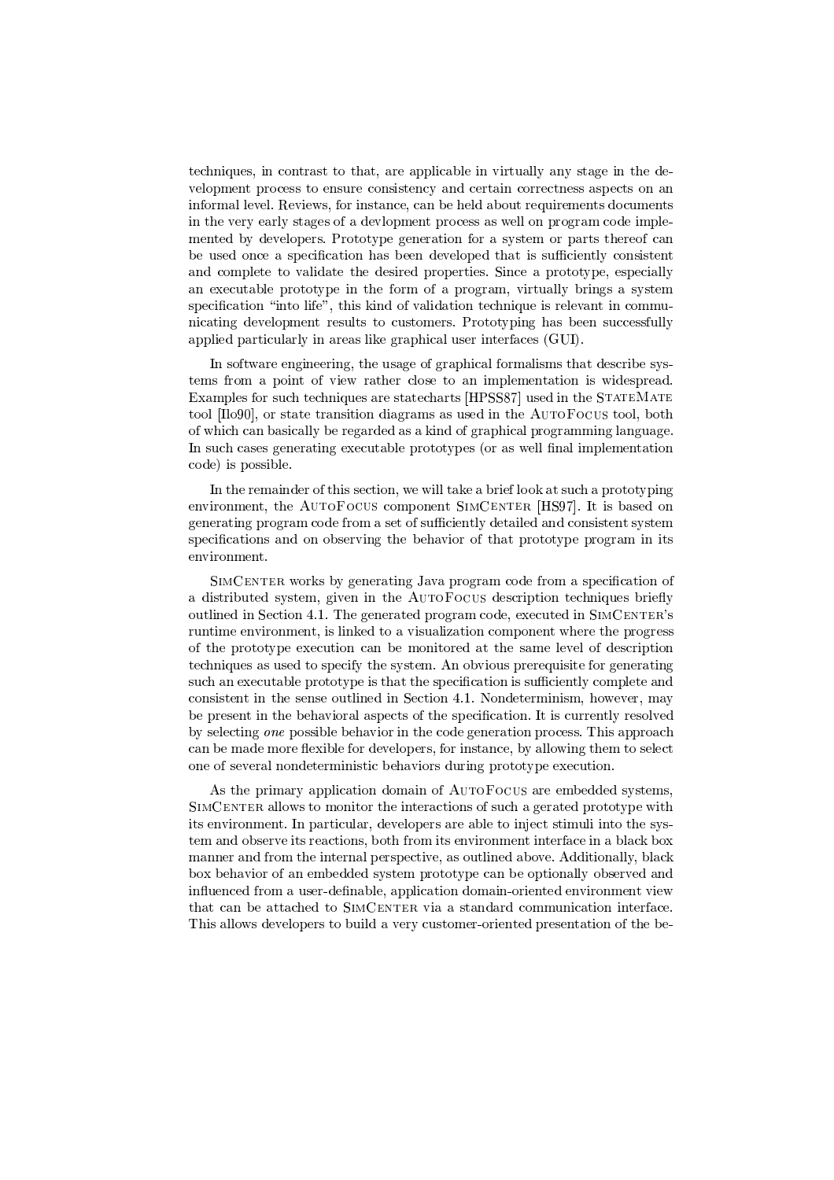techniques, in contrast to that, are applicable in virtually any stage in the development process to ensure consistency and certain correctness aspects on an informal level. Reviews, for instance, can be held about requirements documents in the very early stages of a devlopment process as well on program code implemented by developers. Prototype generation for a system or parts thereof can be used once a specification has been developed that is sufficiently consistent and complete to validate the desired properties. Since a prototype, especially an executable prototype in the form of a program, virtually brings a system specification "into life", this kind of validation technique is relevant in communicating development results to customers. Prototyping has been successfully applied particularly in areas like graphical user interfaces (GUI).

In software engineering, the usage of graphical formalisms that describe systems from a point of view rather close to an implementation is widespread. Examples for such techniques are statecharts [HPSS87] used in the STATEMATE tool [Ilo90], or state transition diagrams as used in the AUTOFOCUS tool, both of which can basically be regarded as a kind of graphical programming language. In such cases generating executable prototypes (or as well final implementation code) is possible.

In the remainder of this section, we will take a brief look at such a prototyping environment, the AUTOFOCUS component SIMCENTER [HS97]. It is based on generating program code from a set of sufficiently detailed and consistent system specifications and on observing the behavior of that prototype program in its environment.

SIMCENTER works by generating Java program code from a specification of a distributed system, given in the AUTOFOCUS description techniques briefly outlined in Section 4.1. The generated program code, executed in SIMCENTER's runtime environment, is linked to a visualization component where the progress of the prototype execution can be monitored at the same level of description techniques as used to specify the system. An obvious prerequisite for generating such an executable prototype is that the specification is sufficiently complete and consistent in the sense outlined in Section 4.1. Nondeterminism, however, may be present in the behavioral aspects of the specification. It is currently resolved by selecting one possible behavior in the code generation process. This approach can be made more flexible for developers, for instance, by allowing them to select one of several nondeterministic behaviors during prototype execution.

As the primary application domain of AUTOFOCUS are embedded systems, SIMCENTER allows to monitor the interactions of such a gerated prototype with its environment. In particular, developers are able to inject stimuli into the system and observe its reactions, both from its environment interface in a black box manner and from the internal perspective, as outlined above. Additionally, black box behavior of an embedded system prototype can be optionally observed and influenced from a user-definable, application domain-oriented environment view that can be attached to SIMCENTER via a standard communication interface. This allows developers to build a very customer-oriented presentation of the be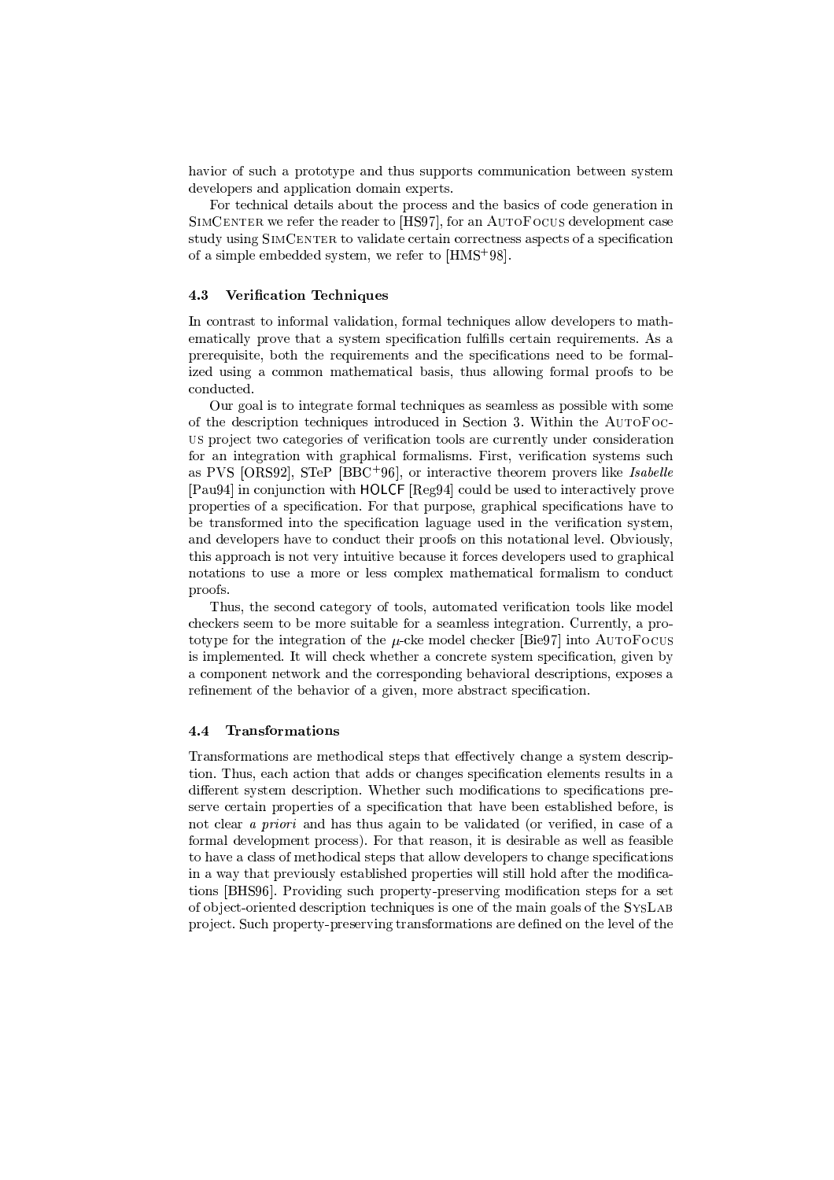havior of such a prototype and thus supports communication between system developers and application domain experts.

For technical details about the process and the basics of code generation in SIMCENTER we refer the reader to [HS97], for an AUTOFOCUS development case study using SIMCENTER to validate certain correctness aspects of a specification of a simple embedded system, we refer to  $[HMS^+98]$ .

#### 4.3 **Verification Techniques**

In contrast to informal validation, formal techniques allow developers to mathematically prove that a system specification fulfills certain requirements. As a prerequisite, both the requirements and the specifications need to be formalized using a common mathematical basis, thus allowing formal proofs to be conducted.

Our goal is to integrate formal techniques as seamless as possible with some of the description techniques introduced in Section 3. Within the AUTOFOC-Us project two categories of verification tools are currently under consideration for an integration with graphical formalisms. First, verification systems such as PVS [ORS92], STeP [BBC<sup>+</sup>96], or interactive theorem provers like *Isabelle* [Pau94] in conjunction with HOLCF [Reg94] could be used to interactively prove properties of a specification. For that purpose, graphical specifications have to be transformed into the specification laguage used in the verification system. and developers have to conduct their proofs on this notational level. Obviously, this approach is not very intuitive because it forces developers used to graphical notations to use a more or less complex mathematical formalism to conduct proofs.

Thus, the second category of tools, automated verification tools like model checkers seem to be more suitable for a seamless integration. Currently, a prototype for the integration of the  $\mu$ -cke model checker [Bie97] into AUTOFOCUS is implemented. It will check whether a concrete system specification, given by a component network and the corresponding behavioral descriptions, exposes a refinement of the behavior of a given, more abstract specification.

#### $4.4$ Transformations

Transformations are methodical steps that effectively change a system description. Thus, each action that adds or changes specification elements results in a different system description. Whether such modifications to specifications preserve certain properties of a specification that have been established before, is not clear a priori and has thus again to be validated (or verified, in case of a formal development process). For that reason, it is desirable as well as feasible to have a class of methodical steps that allow developers to change specifications in a way that previously established properties will still hold after the modifications [BHS96]. Providing such property-preserving modification steps for a set of object-oriented description techniques is one of the main goals of the SYSLAB project. Such property-preserving transformations are defined on the level of the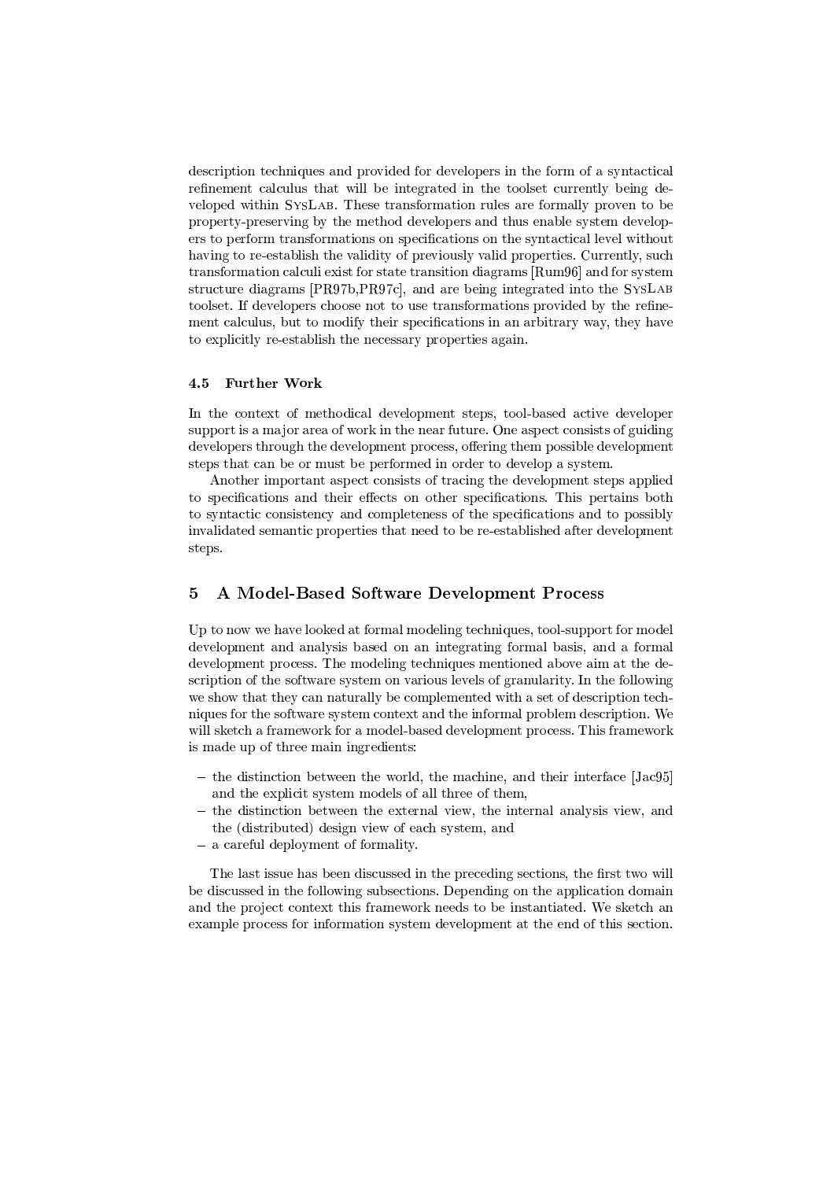description techniques and provided for developers in the form of a syntactical refinement calculus that will be integrated in the toolset currently being developed within SYSLAB. These transformation rules are formally proven to be property-preserving by the method developers and thus enable system developers to perform transformations on specifications on the syntactical level without having to re-establish the validity of previously valid properties. Currently, such transformation calculi exist for state transition diagrams [Rum96] and for system structure diagrams [PR97b, PR97c], and are being integrated into the SYSLAB toolset. If developers choose not to use transformations provided by the refinement calculus, but to modify their specifications in an arbitrary way, they have to explicitly re-establish the necessary properties again.

### $4.5$ **Further Work**

In the context of methodical development steps, tool-based active developer support is a major area of work in the near future. One aspect consists of guiding developers through the development process, offering them possible development steps that can be or must be performed in order to develop a system.

Another important aspect consists of tracing the development steps applied to specifications and their effects on other specifications. This pertains both to syntactic consistency and completeness of the specifications and to possibly invalidated semantic properties that need to be re-established after development steps.

### A Model-Based Software Development Process 5

Up to now we have looked at formal modeling techniques, tool-support for model development and analysis based on an integrating formal basis, and a formal development process. The modeling techniques mentioned above aim at the description of the software system on various levels of granularity. In the following we show that they can naturally be complemented with a set of description techniques for the software system context and the informal problem description. We will sketch a framework for a model-based development process. This framework is made up of three main ingredients:

- $-$  the distinction between the world, the machine, and their interface [Jac95] and the explicit system models of all three of them.
- the distinction between the external view, the internal analysis view, and the (distributed) design view of each system, and
- $-$  a careful deployment of formality.

The last issue has been discussed in the preceding sections, the first two will be discussed in the following subsections. Depending on the application domain and the project context this framework needs to be instantiated. We sketch an example process for information system development at the end of this section.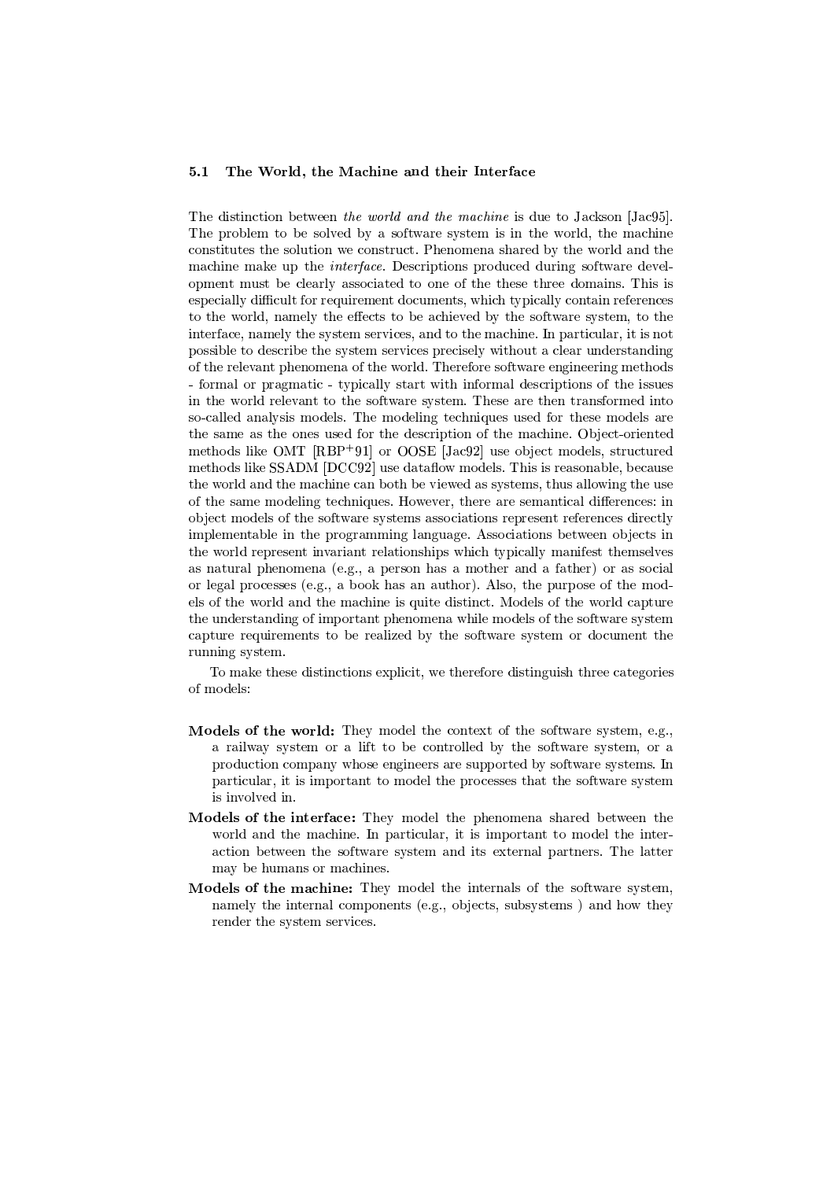#### $5.1$ The World, the Machine and their Interface

The distinction between the world and the machine is due to Jackson [Jac95]. The problem to be solved by a software system is in the world, the machine constitutes the solution we construct. Phenomena shared by the world and the machine make up the *interface*. Descriptions produced during software development must be clearly associated to one of the these three domains. This is especially difficult for requirement documents, which typically contain references to the world, namely the effects to be achieved by the software system, to the interface, namely the system services, and to the machine. In particular, it is not possible to describe the system services precisely without a clear understanding of the relevant phenomena of the world. Therefore software engineering methods - formal or pragmatic - typically start with informal descriptions of the issues in the world relevant to the software system. These are then transformed into so-called analysis models. The modeling techniques used for these models are the same as the ones used for the description of the machine. Object-oriented methods like OMT [RBP+91] or OOSE [Jac92] use object models, structured methods like SSADM [DCC92] use dataflow models. This is reasonable, because the world and the machine can both be viewed as systems, thus allowing the use of the same modeling techniques. However, there are semantical differences: in object models of the software systems associations represent references directly implementable in the programming language. Associations between objects in the world represent invariant relationships which typically manifest themselves as natural phenomena (e.g., a person has a mother and a father) or as social or legal processes (e.g., a book has an author). Also, the purpose of the models of the world and the machine is quite distinct. Models of the world capture the understanding of important phenomena while models of the software system capture requirements to be realized by the software system or document the running system.

To make these distinctions explicit, we therefore distinguish three categories of models:

- **Models of the world:** They model the context of the software system, e.g., a railway system or a lift to be controlled by the software system, or a production company whose engineers are supported by software systems. In particular, it is important to model the processes that the software system is involved in.
- Models of the interface: They model the phenomena shared between the world and the machine. In particular, it is important to model the interaction between the software system and its external partners. The latter may be humans or machines.
- Models of the machine: They model the internals of the software system, namely the internal components (e.g., objects, subsystems) and how they render the system services.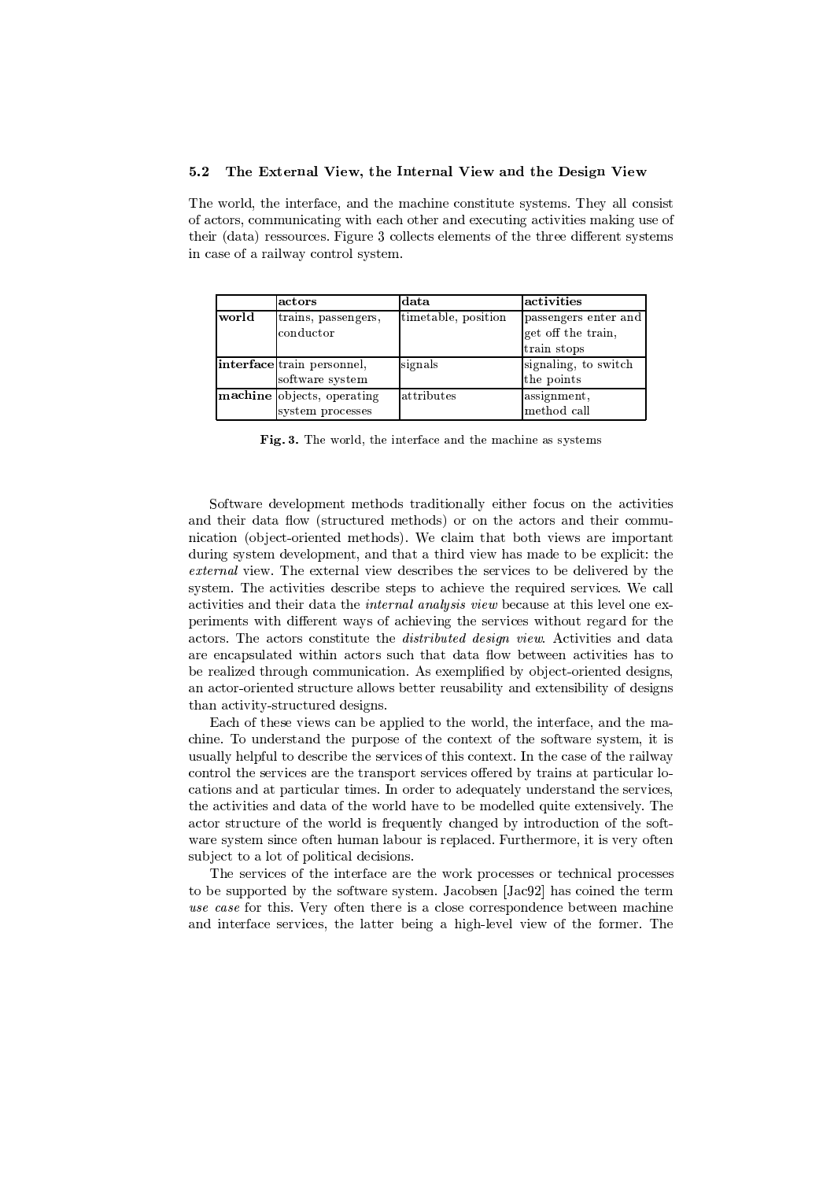#### $5.2$ The External View, the Internal View and the Design View

The world, the interface, and the machine constitute systems. They all consist of actors, communicating with each other and executing activities making use of their (data) ressources. Figure 3 collects elements of the three different systems in case of a railway control system.

|       | actors                           | data                | lactivities                                               |
|-------|----------------------------------|---------------------|-----------------------------------------------------------|
| world | trains, passengers,<br>conductor | timetable, position | passengers enter and<br>get off the train,<br>train stops |
|       | interface train personnel,       | signals             | signaling, to switch                                      |
|       | software system                  |                     | the points                                                |
|       | machine objects, operating       | attributes          | assignment,                                               |
|       | system processes                 |                     | method call                                               |

Fig. 3. The world, the interface and the machine as systems

Software development methods traditionally either focus on the activities and their data flow (structured methods) or on the actors and their communication (object-oriented methods). We claim that both views are important during system development, and that a third view has made to be explicit: the *external* view. The external view describes the services to be delivered by the system. The activities describe steps to achieve the required services. We call activities and their data the *internal analysis view* because at this level one experiments with different ways of achieving the services without regard for the actors. The actors constitute the *distributed design view*. Activities and data are encapsulated within actors such that data flow between activities has to be realized through communication. As exemplified by object-oriented designs, an actor-oriented structure allows better reusability and extensibility of designs than activity-structured designs.

Each of these views can be applied to the world, the interface, and the machine. To understand the purpose of the context of the software system, it is usually helpful to describe the services of this context. In the case of the railway control the services are the transport services offered by trains at particular locations and at particular times. In order to adequately understand the services, the activities and data of the world have to be modelled quite extensively. The actor structure of the world is frequently changed by introduction of the software system since often human labour is replaced. Furthermore, it is very often subject to a lot of political decisions.

The services of the interface are the work processes or technical processes to be supported by the software system. Jacobsen [Jac92] has coined the term use case for this. Very often there is a close correspondence between machine and interface services, the latter being a high-level view of the former. The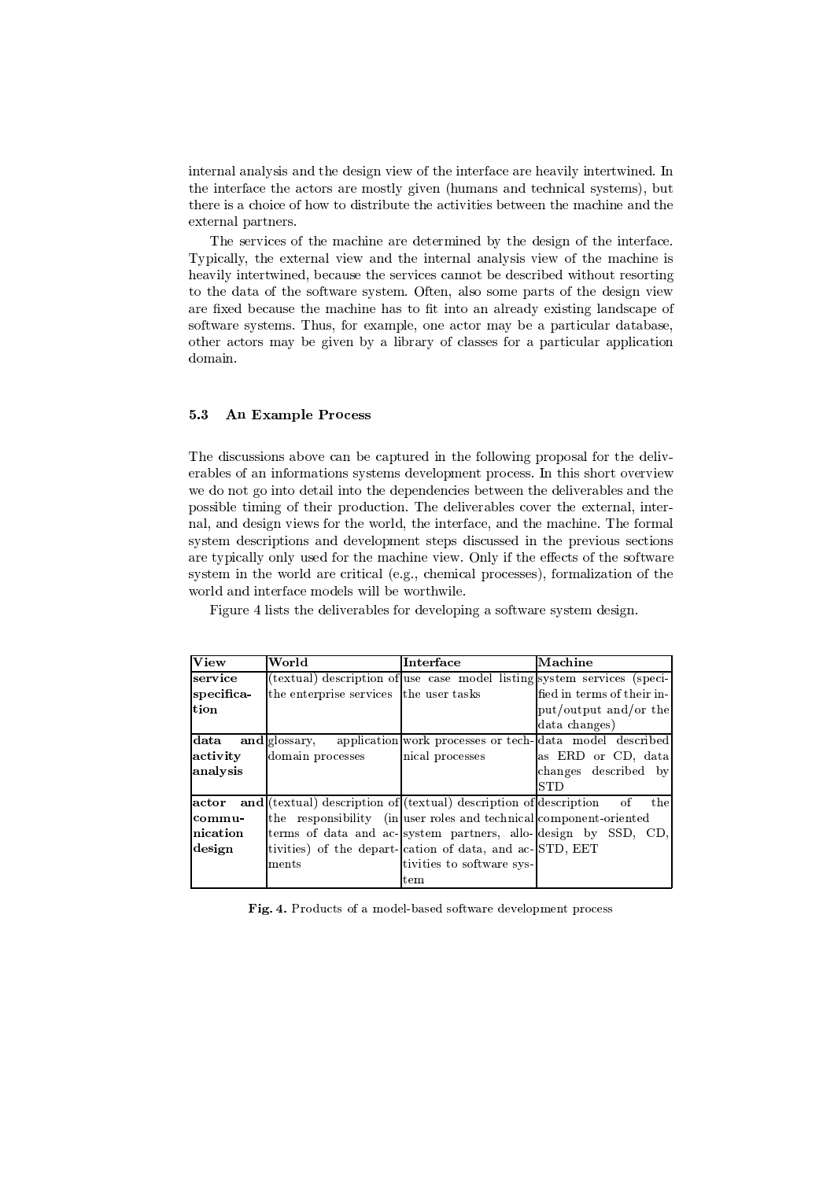. A substitute the state of the state  $\alpha$  and  $\alpha$  and  $\alpha$   $\alpha$   $\beta$   $\beta$   $\beta$  $\blacksquare$ there is a choice of how to distribute the activities between the machine and the external partners.

The services of the machine are determined by the design of the interface.  $\mathbf{r}$  ,  $\mathbf{r}$  ,  $\mathbf{r}$  ,  $\mathbf{r}$  ,  $\mathbf{r}$  ,  $\mathbf{r}$  ,  $\mathbf{r}$  ,  $\mathbf{r}$  ,  $\mathbf{r}$  ,  $\mathbf{r}$  $\blacksquare$  $\Omega$  $\alpha$  and  $\alpha$  is the state of the state  $\alpha$  $\overline{\phantom{a}}$  , which are the contracted to  $\overline{\phantom{a}}$  and  $\overline{\phantom{a}}$  $\blacksquare$ domain.

### $5.3$   $\,$  An Example Process  $\,$

ÈRUJ>Á@;]p`?T4NQ`?`x]EZ8Q`©79OPEG¿Z>)T!798¢OP>ÁT!79X;\?NJ<?>A@.]8¢\?UJ>):=EZ½ ½EGÅ5]8J¾-XJ<?EZXPEf`?79½:=EZ<©\?UJ>Á@;>!½ ]¿fÂ erables of an informations systems development process. In this short overview  $\Psi$  , the state of the state of the state  $\Lambda$  and  $\Lambda$  and  $\Lambda$  and  $\Lambda$  $X$ nal, and design views for the world, the interface, and the machine. The formal  $\mathcal{X}=\mathcal{X}=\mathcal{X}=\mathcal{X}=\mathcal{X}=\mathcal{X}=\mathcal{X}=\mathcal{X}=\mathcal{X}=\mathcal{X}=\mathcal{X}=\mathcal{X}=\mathcal{X}=\mathcal{X}=\mathcal{X}=\mathcal{X}=\mathcal{X}=\mathcal{X}=\mathcal{X}=\mathcal{X}=\mathcal{X}=\mathcal{X}=\mathcal{X}=\mathcal{X}=\mathcal{X}=\mathcal{X}=\mathcal{X}=\mathcal{X}=\mathcal{X}=\mathcal{X}=\mathcal{X}=\mathcal{X}=\mathcal{X}=\mathcal{X}=\mathcal{X}=\mathcal{X}=\mathcal{$ 79<?>©\jF\_XJ]pT!79½ ½F-EZ8J½F-NQ`x>A@C:=EZ<R\?UJ>WÁ7ZTKUJ]8J>¿\_]>!ÅÃ 8J½F-]:\?UJ>>4ï>AT-\K`'E9:&\?UJ>`xE9:Ä\jÅR79<?>  $\cdots$  . The state of  $\cdots$  and  $\cdots$  and  $\cdots$  and  $\cdots$  $\blacksquare$ 

 $\blacksquare$ 

| View       | World                                                             | Interface                                                               | Machine                     |
|------------|-------------------------------------------------------------------|-------------------------------------------------------------------------|-----------------------------|
| service    |                                                                   | (textual) description of use case model listing system services (speci- |                             |
| specifica- | the enterprise services the user tasks                            |                                                                         | lfied in terms of their in- |
| tion       |                                                                   |                                                                         | put/output and/or the       |
|            |                                                                   |                                                                         | data changes)               |
| data       | and glossary.                                                     | application work processes or tech-data model described                 |                             |
| activity   | domain processes                                                  | nical processes                                                         | las ERD or CD, data         |
| analysis   |                                                                   |                                                                         | changes described by        |
|            |                                                                   |                                                                         | <b>STD</b>                  |
| actor      | and (textual) description of (textual) description of description |                                                                         | thel<br>οf                  |
| commu-     |                                                                   | the responsibility (in user roles and technical component-oriented      |                             |
| nication   |                                                                   | terms of data and ac-system partners, allo-design by SSD, CD,           |                             |
| design     |                                                                   | tivities) of the depart-clation of data, and ac-STD, EET                |                             |
|            | ments                                                             | tivities to software sys-                                               |                             |
|            |                                                                   | tem                                                                     |                             |

- Pkjo9 Zdfv?gjyµo!ib©qo9 ZuKe ®«\_b!yzu- yzo!ign£b4kju ZuK|uKeoA¤fquKmGg¤ZkjoGvKuKyzy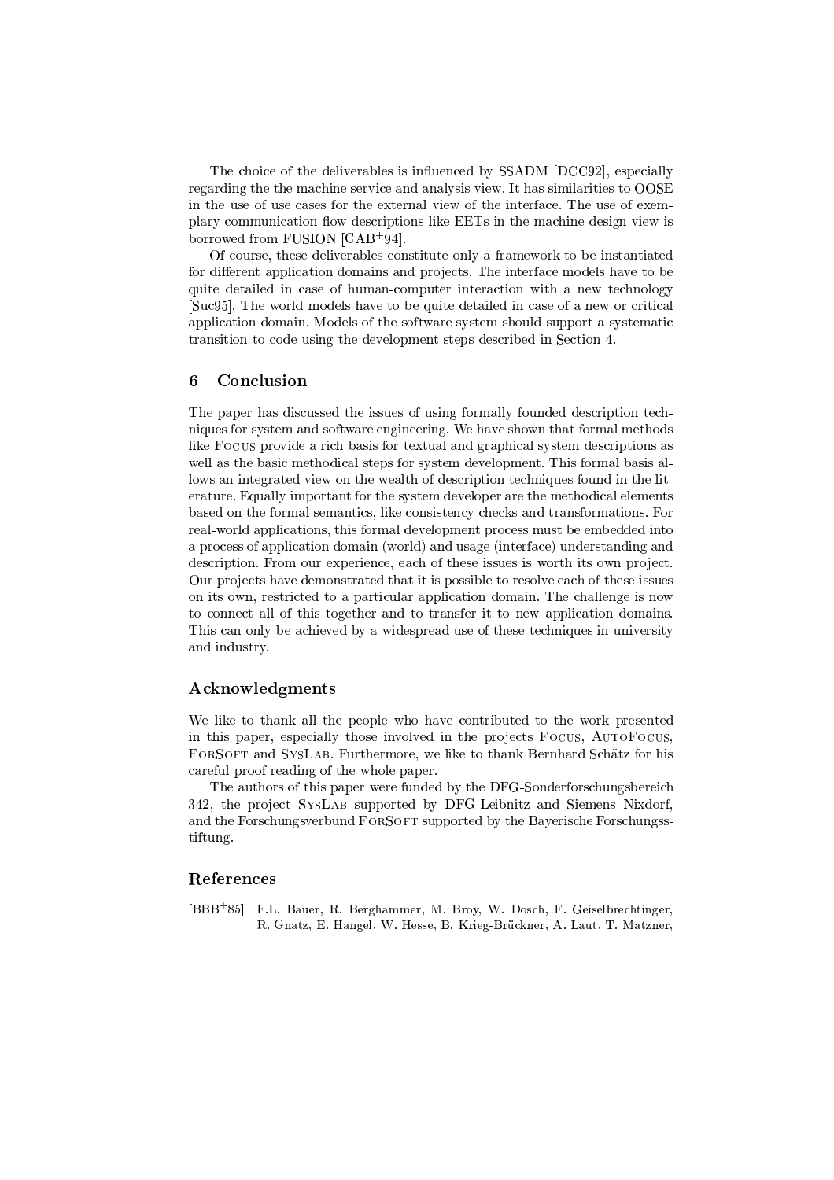The choice of the deliverables is influenced by SSADM [DCC92], especially regarding the the machine service and analysis view. It has similarities to OOSE in the use of use cases for the external view of the interface. The use of exemplary communication flow descriptions like EETs in the machine design view is borrowed from FUSION [CAB+94].

Of course, these deliverables constitute only a framework to be instantiated for different application domains and projects. The interface models have to be quite detailed in case of human-computer interaction with a new technology [Suc95]. The world models have to be quite detailed in case of a new or critical application domain. Models of the software system should support a systematic transition to code using the development steps described in Section 4.

### 6 Conclusion

The paper has discussed the issues of using formally founded description techniques for system and software engineering. We have shown that formal methods like Focus provide a rich basis for textual and graphical system descriptions as well as the basic methodical steps for system development. This formal basis allows an integrated view on the wealth of description techniques found in the literature. Equally important for the system developer are the methodical elements based on the formal semantics, like consistency checks and transformations. For real-world applications, this formal development process must be embedded into a process of application domain (world) and usage (interface) understanding and description. From our experience, each of these issues is worth its own project. Our projects have demonstrated that it is possible to resolve each of these issues on its own, restricted to a particular application domain. The challenge is now to connect all of this together and to transfer it to new application domains. This can only be achieved by a widespread use of these techniques in university and industry.

## Acknowledgments

We like to thank all the people who have contributed to the work presented in this paper, especially those involved in the projects Focus, AUTOFOCUS, FORSOFT and SYSLAB. Furthermore, we like to thank Bernhard Schätz for his careful proof reading of the whole paper.

The authors of this paper were funded by the DFG-Sonderforschungsbereich 342, the project SYSLAB supported by DFG-Leibnitz and Siemens Nixdorf, and the Forschungsverbund FORSOFT supported by the Bayerische Forschungsstiftung.

### References

[BBB<sup>+</sup>85] F.L. Bauer, R. Berghammer, M. Broy, W. Dosch, F. Geiselbrechtinger, R. Gnatz, E. Hangel, W. Hesse, B. Krieg-Brückner, A. Laut, T. Matzner,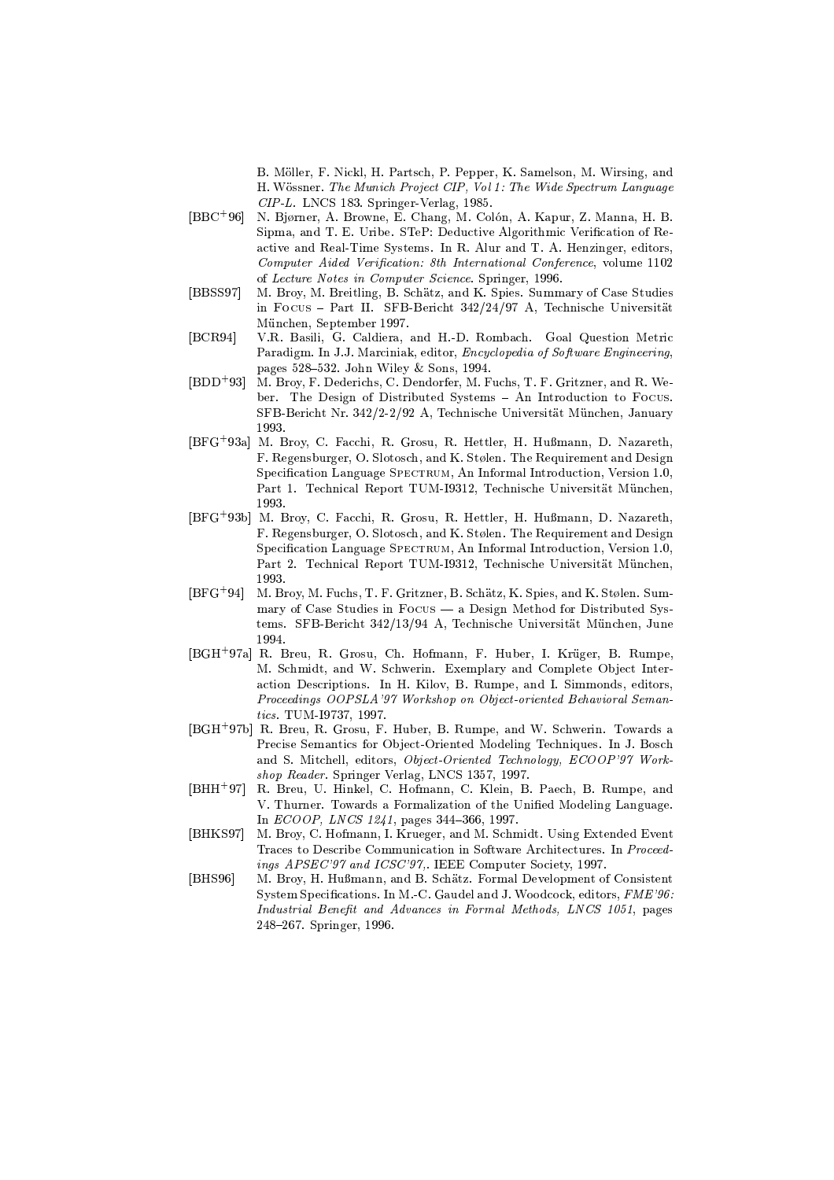B. Möller, F. Nickl, H. Partsch, P. Pepper, K. Samelson, M. Wirsing, and H. Wössner. The Munich Project CIP, Vol 1: The Wide Spectrum Language CIP-L. LNCS 183. Springer-Verlag, 1985.

- N. Bjørner, A. Browne, E. Chang, M. Colón, A. Kapur, Z. Manna, H. B.  $[BBC + 96]$ Sipma, and T. E. Uribe. STeP: Deductive Algorithmic Verification of Reactive and Real-Time Systems. In R. Alur and T. A. Henzinger, editors, Computer Aided Verification: 8th International Conference, volume 1102 of Lecture Notes in Computer Science. Springer, 1996.
- [BBSS97] M. Broy, M. Breitling, B. Schätz, and K. Spies. Summary of Case Studies in FOCUS - Part II. SFB-Bericht 342/24/97 A, Technische Universität München, September 1997.
- $[BCR94]$ V.R. Basili, G. Caldiera, and H.-D. Rombach. Goal Question Metric Paradigm. In J.J. Marciniak, editor, *Encyclopedia of Software Engineering*, pages 528-532. John Wiley & Sons, 1994.
- $[BDD+93]$ M. Broy, F. Dederichs, C. Dendorfer, M. Fuchs, T. F. Gritzner, and R. Weber. The Design of Distributed Systems - An Introduction to Focus. SFB-Bericht Nr. 342/2-2/92 A, Technische Universität München, January 1993
- [BFG<sup>+</sup>93a] M. Broy, C. Facchi, R. Grosu, R. Hettler, H. Hußmann, D. Nazareth, F. Regensburger, O. Slotosch, and K. Stølen. The Requirement and Design Specification Language SPECTRUM, An Informal Introduction, Version 1.0, Part 1. Technical Report TUM-I9312, Technische Universität München, 1993
- [BFG<sup>+</sup>93b] M. Broy, C. Facchi, R. Grosu, R. Hettler, H. Hußmann, D. Nazareth, F. Regensburger, O. Slotosch, and K. Stølen. The Requirement and Design Specification Language SPECTRUM, An Informal Introduction, Version 1.0, Part 2. Technical Report TUM-I9312, Technische Universität München, 1993.
- $[BFG^+94]$ M. Broy, M. Fuchs, T. F. Gritzner, B. Schätz, K. Spies, and K. Stølen. Summary of Case Studies in Focus — a Design Method for Distributed Systems. SFB-Bericht 342/13/94 A, Technische Universität München, June 1994
- [BGH+97a] R. Breu, R. Grosu, Ch. Hofmann, F. Huber, I. Krüger, B. Rumpe, M. Schmidt, and W. Schwerin. Exemplary and Complete Object Interaction Descriptions. In H. Kilov, B. Rumpe, and I. Simmonds, editors. Proceedings OOPSLA'97 Workshop on Object-oriented Behavioral Semantics. TUM-19737, 1997.
- [BGH<sup>+</sup>97b] R. Breu, R. Grosu, F. Huber, B. Rumpe, and W. Schwerin. Towards a Precise Semantics for Object-Oriented Modeling Techniques. In J. Bosch and S. Mitchell, editors, Object-Oriented Technology, ECOOP'97 Workshop Reader. Springer Verlag, LNCS 1357, 1997.
- $[BHH+97]$ R. Breu, U. Hinkel, C. Hofmann, C. Klein, B. Paech, B. Rumpe, and V. Thurner. Towards a Formalization of the Unified Modeling Language. In ECOOP, LNCS 1241, pages 344-366, 1997.
- $[BHKS97]$ M. Broy, C. Hofmann, I. Krueger, and M. Schmidt. Using Extended Event Traces to Describe Communication in Software Architectures. In Proceedings APSEC'97 and ICSC'97. IEEE Computer Society, 1997.
- $[BHS96]$ M. Broy, H. Hußmann, and B. Schätz. Formal Development of Consistent System Specifications. In M.-C. Gaudel and J. Woodcock, editors, FME'96: Industrial Benefit and Advances in Formal Methods, LNCS 1051, pages 248-267. Springer, 1996.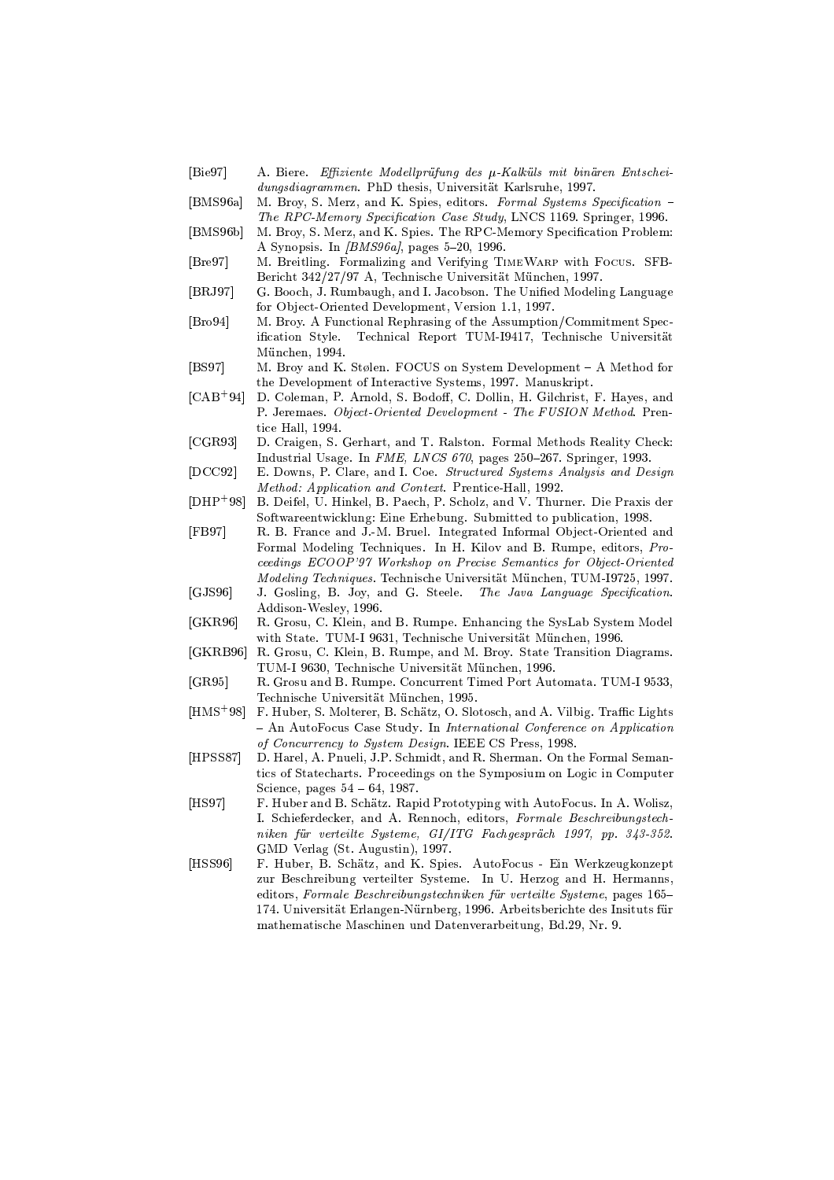- $|Bie97|$ A. Biere. Effiziente Modellprüfung des  $\mu$ -Kalküls mit binären Entscheidungsdiagrammen. PhD thesis, Universität Karlsruhe, 1997.
- $[BMS96a]$ M. Broy, S. Merz, and K. Spies, editors. Formal Systems Specification -The RPC-Memory Specification Case Study, LNCS 1169. Springer, 1996.
- M. Broy, S. Merz, and K. Spies. The RPC-Memory Specification Problem: [BMS96b]
	- A Synopsis. In  $/BMS96a$ , pages 5-20, 1996.
- $|Bre97|$ M. Breitling. Formalizing and Verifying TIMEWARP with FOCUS. SFB-Bericht 342/27/97 A, Technische Universität München, 1997.
- $[BRJ97]$ G. Booch, J. Rumbaugh, and I. Jacobson. The Unified Modeling Language for Object-Oriented Development, Version 1.1, 1997.
- $[Bro94]$ M. Broy. A Functional Rephrasing of the Assumption/Commitment Spec-Technical Report TUM-I9417, Technische Universität ification Style. München, 1994.
- $[BS97]$ M. Broy and K. Stølen. FOCUS on System Development - A Method for the Development of Interactive Systems, 1997. Manuskript.
- $[CAB+94]$ D. Coleman, P. Arnold, S. Bodoff, C. Dollin, H. Gilchrist, F. Hayes, and P. Jeremaes. Object-Oriented Development - The FUSION Method. Prentice Hall, 1994.
- $[CGR93]$ D. Craigen, S. Gerhart, and T. Ralston. Formal Methods Reality Check: Industrial Usage. In FME, LNCS 670, pages 250-267. Springer, 1993.
- $[DCC92]$ E. Downs, P. Clare, and I. Coe. Structured Systems Analysis and Design Method: Application and Context. Prentice-Hall. 1992.
- $[DHP+98]$ B. Deifel, U. Hinkel, B. Paech, P. Scholz, and V. Thurner. Die Praxis der Softwareentwicklung: Eine Erhebung. Submitted to publication, 1998.
- $[FB97]$ R. B. France and J.-M. Bruel. Integrated Informal Object-Oriented and Formal Modeling Techniques. In H. Kilov and B. Rumpe, editors, Proceedings ECOOP'97 Workshop on Precise Semantics for Object-Oriented Modeling Techniques. Technische Universität München, TUM-I9725, 1997.  $[GJS96]$ J. Gosling, B. Joy, and G. Steele. The Java Language Specification.
- Addison-Wesley, 1996.
- $[GRR96]$ R. Grosu, C. Klein, and B. Rumpe. Enhancing the SysLab System Model with State. TUM-I 9631. Technische Universität München. 1996.
- $[GRRB96]$ R. Grosu, C. Klein, B. Rumpe, and M. Broy. State Transition Diagrams. TUM-I 9630, Technische Universität München, 1996.
- $[GR95]$ R. Grosu and B. Rumpe. Concurrent Timed Port Automata. TUM-I 9533, Technische Universität München, 1995.
- $[HMS+98]$ F. Huber, S. Molterer, B. Schätz, O. Slotosch, and A. Vilbig. Traffic Lights - An AutoFocus Case Study. In International Conference on Application of Concurrency to System Design. IEEE CS Press, 1998.
- $[HPSS87]$ D. Harel, A. Pnueli, J.P. Schmidt, and R. Sherman. On the Formal Semantics of Statecharts. Proceedings on the Symposium on Logic in Computer Science, pages  $54 - 64$ , 1987.
- $[HS97]$ F. Huber and B. Schätz. Rapid Prototyping with AutoFocus. In A. Wolisz, I. Schieferdecker, and A. Rennoch, editors, Formale Beschreibungstechniken für verteilte Systeme, GI/ITG Fachgespräch 1997, pp. 343-352. GMD Verlag (St. Augustin), 1997.
- $[HSS96]$ F. Huber, B. Schätz, and K. Spies. AutoFocus - Ein Werkzeugkonzept zur Beschreibung verteilter Systeme. In U. Herzog and H. Hermanns, editors, Formale Beschreibungstechniken für verteilte Systeme, pages 165-174. Universität Erlangen-Nürnberg, 1996. Arbeitsberichte des Insituts für mathematische Maschinen und Datenverarbeitung, Bd.29, Nr. 9.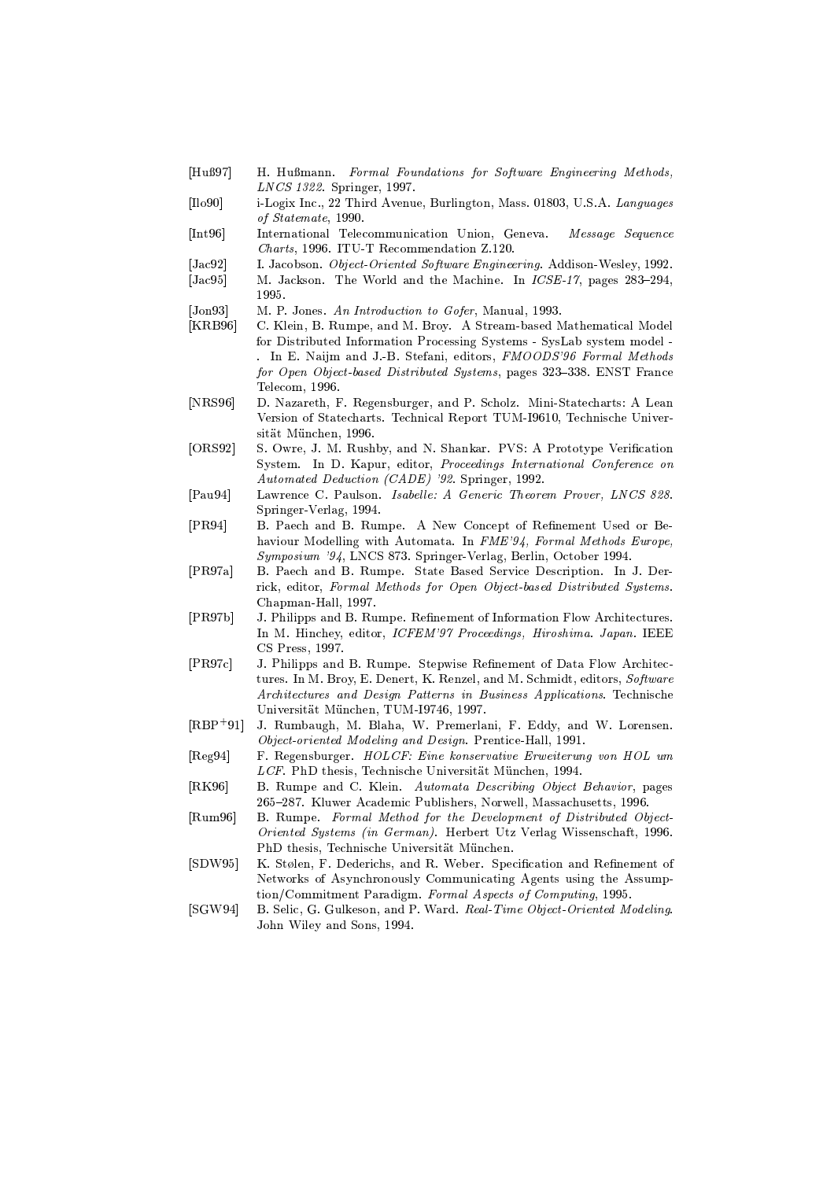- $[HuB97]$ H. Hußmann. Formal Foundations for Software Engineering Methods, *LNCS 1322.* Springer, 1997.
- $[II<sub>0</sub>90]$ i-Logix Inc., 22 Third Avenue, Burlington, Mass. 01803, U.S.A. Languages of Statemate, 1990.
- International Telecommunication Union, Geneva.  $[Int96]$ Message Sequence *Charts*, 1996. ITU-T Recommendation  $Z.120$ .
- $[Jac92]$ I. Jacobson. Object-Oriented Software Engineering. Addison-Wesley, 1992.
- $[Jac95]$ M. Jackson. The World and the Machine. In *ICSE-17*, pages 283-294. 1995.
- $[John93]$ M. P. Jones. An Introduction to Gofer, Manual, 1993.
- $[KRB96]$ C. Klein, B. Rumpe, and M. Broy. A Stream-based Mathematical Model for Distributed Information Processing Systems - SysLab system model -. In E. Naijm and J.-B. Stefani, editors, FMOODS'96 Formal Methods for Open Object-based Distributed Systems, pages 323-338. ENST France Telecom, 1996.
- $[NRS96]$ D. Nazareth, F. Regensburger, and P. Scholz. Mini-Statecharts: A Lean Version of Statecharts. Technical Report TUM-I9610, Technische Universität München, 1996.
- $[ORS92]$ S. Owre, J. M. Rushby, and N. Shankar. PVS: A Prototype Verification System. In D. Kapur, editor, Proceedings International Conference on Automated Deduction (CADE) '92. Springer, 1992.
- $[Paul94]$ Lawrence C. Paulson. Isabelle: A Generic Theorem Prover, LNCS 828. Springer-Verlag, 1994.
- $[PR94]$ B. Paech and B. Rumpe. A New Concept of Refinement Used or Behaviour Modelling with Automata. In FME'94, Formal Methods Europe, Symposium '94, LNCS 873. Springer-Verlag, Berlin, October 1994.
- $[PR97a]$ B. Paech and B. Rumpe. State Based Service Description. In J. Derrick, editor, Formal Methods for Open Object-based Distributed Systems. Chapman-Hall, 1997.
- $[PR97b]$ J. Philipps and B. Rumpe. Refinement of Information Flow Architectures. In M. Hinchey, editor, *ICFEM'97 Proceedings*, *Hiroshima. Japan.* IEEE CS Press, 1997.
- J. Philipps and B. Rumpe. Stepwise Refinement of Data Flow Architec- $[PR97c]$ tures. In M. Broy, E. Denert, K. Renzel, and M. Schmidt, editors, Software Architectures and Design Patterns in Business Applications. Technische Universität München, TUM-I9746, 1997.
- $[RBP+91]$ J. Rumbaugh, M. Blaha, W. Premerlani, F. Eddy, and W. Lorensen. Object-oriented Modeling and Design. Prentice-Hall, 1991.
- $[Reg94]$ F. Regensburger. HOLCF: Eine konservative Erweiterung von HOL um LCF. PhD thesis, Technische Universität München, 1994.
- $[RK96]$ B. Rumpe and C. Klein. Automata Describing Object Behavior, pages 265-287. Kluwer Academic Publishers, Norwell, Massachusetts, 1996.
- $[Rum96]$ B. Rumpe. Formal Method for the Development of Distributed Object-Oriented Systems (in German). Herbert Utz Verlag Wissenschaft, 1996. PhD thesis, Technische Universität München.
- $[SDW95]$ K. Stølen, F. Dederichs, and R. Weber. Specification and Refinement of Networks of Asynchronously Communicating Agents using the Assumption/Commitment Paradigm. Formal Aspects of Computing, 1995.
- [SGW94] B. Selic, G. Gulkeson, and P. Ward. Real-Time Object-Oriented Modeling. John Wiley and Sons, 1994.